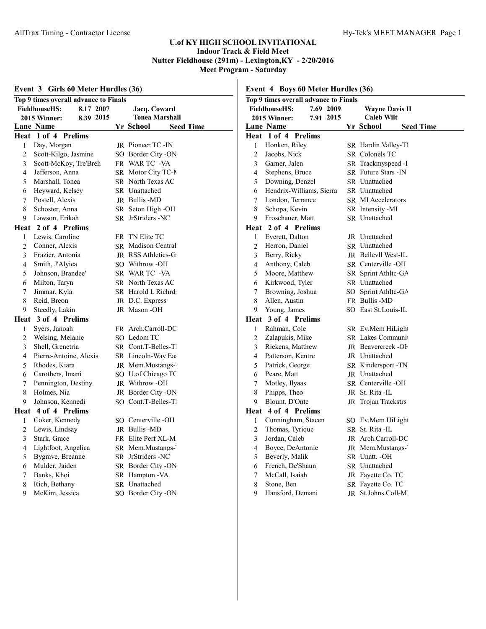| Event 3 Girls 60 Meter Hurdles (36) |                                       |           |    |                            |                  |
|-------------------------------------|---------------------------------------|-----------|----|----------------------------|------------------|
|                                     | Top 9 times overall advance to Finals |           |    |                            |                  |
|                                     | <b>FieldhouseHS:</b>                  | 8.17 2007 |    | Jacq. Coward               |                  |
|                                     | 2015 Winner:                          | 8.39 2015 |    | Tonea Marshall             |                  |
|                                     | Lane Name                             |           |    | Yr School                  | <b>Seed Time</b> |
| Heat                                | 1 of 4 Prelims                        |           |    |                            |                  |
| 1                                   | Day, Morgan                           |           |    | JR Pioneer TC -IN          |                  |
| $\overline{2}$                      | Scott-Kilgo, Jasmine                  |           |    | SO Border City -ON         |                  |
| 3                                   | Scott-McKoy, Tre'Breh                 |           |    | FR WAR TC -VA              |                  |
| 4                                   | Jefferson, Anna                       |           |    | SR Motor City TC-N         |                  |
| 5                                   | Marshall, Tonea                       |           |    | SR North Texas AC          |                  |
| 6                                   | Heyward, Kelsey                       |           |    | SR Unattached              |                  |
| 7                                   | Postell, Alexis                       |           |    | JR Bullis-MD               |                  |
| 8                                   | Schoster, Anna                        |           |    | SR Seton High -OH          |                  |
| 9                                   | Lawson, Erikah                        |           |    | SR JrStriders -NC          |                  |
| Heat                                | 2 of 4 Prelims                        |           |    |                            |                  |
| 1                                   | Lewis, Caroline                       |           |    | FR TN Elite TC             |                  |
| 2                                   | Conner, Alexis                        |           |    | <b>SR</b> Madison Central  |                  |
| 3                                   | Frazier, Antonia                      |           |    | JR RSS Athletics-G         |                  |
| $\overline{4}$                      | Smith, J'Alyiea                       |           |    | SO Withrow -OH             |                  |
| 5                                   | Johnson, Brandee'                     |           |    | SR WAR TC -VA              |                  |
| 6                                   | Milton, Taryn                         |           |    | SR North Texas AC          |                  |
| 7                                   | Jimmar, Kyla                          |           |    | SR Harold L Richrd         |                  |
| 8                                   | Reid, Breon                           |           |    | JR D.C. Express            |                  |
| 9                                   | Steedly, Lakin                        |           |    | JR Mason-OH                |                  |
| Heat                                | 3 of 4 Prelims                        |           |    |                            |                  |
| 1                                   | Syers, Janoah                         |           |    | FR Arch.Carroll-DC         |                  |
| 2                                   | Welsing, Melanie                      |           |    | SO Ledom TC                |                  |
| 3                                   | Shell, Grenetria                      |           |    | SR Cont.T-Belles-T         |                  |
| 4                                   | Pierre-Antoine, Alexis                |           |    | SR Lincoln-Way Eas         |                  |
| 5                                   | Rhodes, Kiara                         |           |    | JR Mem.Mustangs-           |                  |
| 6                                   | Carothers, Imani                      |           |    | SO U.of Chicago TC         |                  |
| 7                                   | Pennington, Destiny                   |           |    | JR Withrow-OH              |                  |
| 8                                   | Holmes, Nia                           |           |    | JR Border City -ON         |                  |
| 9                                   | Johnson, Kennedi                      |           |    | SO Cont.T-Belles-T         |                  |
|                                     | Heat 4 of 4 Prelims                   |           |    |                            |                  |
| 1                                   | Coker, Kennedy                        |           |    | SO Centerville -OH         |                  |
| $\overline{2}$                      | Lewis, Lindsay                        |           |    | JR Bullis-MD               |                  |
| $\overline{3}$                      | Stark, Grace                          |           |    | FR Elite Perf XL-M         |                  |
| 4                                   | Lightfoot, Angelica                   |           |    | SR Mem.Mustangs-           |                  |
| 5                                   | Bygrave, Breanne                      |           | SR | JrStriders -NC             |                  |
| 6                                   | Mulder, Jaiden                        |           | SR | Border City -ON            |                  |
| 7                                   | Banks, Khoi                           |           | SR | Hampton - VA<br>Unattached |                  |
| $\,$ 8 $\,$<br>9                    | Rich, Bethany                         |           | SR |                            |                  |
|                                     | McKim, Jessica                        |           |    | SO Border City -ON         |                  |

|                | Top 9 times overall advance to Finals |           |                           |                  |
|----------------|---------------------------------------|-----------|---------------------------|------------------|
|                | <b>FieldhouseHS:</b>                  | 7.69 2009 | <b>Wayne Davis II</b>     |                  |
|                | 2015 Winner:                          | 7.91 2015 | <b>Caleb Wilt</b>         |                  |
|                | Lane Name                             |           | Yr School                 | <b>Seed Time</b> |
|                | Heat 1 of 4 Prelims                   |           |                           |                  |
| 1              | Honken, Riley                         |           | SR Hardin Valley-Tl       |                  |
| 2              | Jacobs, Nick                          |           | SR Colonels TC            |                  |
| 3              | Garner, Jalen                         |           | SR Trackmyspeed -I        |                  |
| 4              | Stephens, Bruce                       |           | SR Future Stars - IN      |                  |
| 5              | Downing, Denzel                       |           | SR Unattached             |                  |
| 6              | Hendrix-Williams, Sierra              |           | SR Unattached             |                  |
| 7              | London, Terrance                      |           | <b>SR MI Accelerators</b> |                  |
| 8              | Schopa, Kevin                         |           | SR Intensity -MI          |                  |
| 9.             | Froschauer, Matt                      |           | SR Unattached             |                  |
|                | Heat 2 of 4 Prelims                   |           |                           |                  |
| 1              | Everett, Dalton                       |           | JR Unattached             |                  |
| $\overline{c}$ | Herron, Daniel                        |           | <b>SR</b> Unattached      |                  |
| 3              | Berry, Ricky                          |           | JR Bellevll West-IL       |                  |
| 4              | Anthony, Caleb                        |           | SR Centerville -OH        |                  |
| 5              | Moore, Matthew                        |           | SR Sprint Athlte-GA       |                  |
| 6              | Kirkwood, Tyler                       |           | SR Unattached             |                  |
| 7              | Browning, Joshua                      |           | SO Sprint Athlte-GA       |                  |
| 8              | Allen, Austin                         |           | FR Bullis -MD             |                  |
| 9.             | Young, James                          |           | SO East St. Louis-IL      |                  |
|                | Heat 3 of 4 Prelims                   |           |                           |                  |
| 1              | Rahman, Cole                          |           | SR Ev.Mem HiLight         |                  |
| $\overline{c}$ | Zalapukis, Mike                       |           | SR Lakes Communi          |                  |
| 3              | Riekens, Matthew                      |           | <b>IR</b> Beavercreek -OF |                  |
| 4              | Patterson, Kentre                     |           | JR Unattached             |                  |
| 5              | Patrick, George                       |           | SR Kindersport - TN       |                  |
| 6              | Peare, Matt                           |           | JR Unattached             |                  |
| 7              | Motley, Ilyaas                        |           | SR Centerville-OH         |                  |
| 8              | Phipps, Theo                          |           | JR St. Rita -IL           |                  |
| 9              | Blount, D'Onte                        |           | JR Trojan Trackstrs       |                  |
|                | Heat 4 of 4 Prelims                   |           |                           |                  |
| 1              | Cunningham, Stacen                    |           | SO Ev.Mem HiLight         |                  |
| $\overline{c}$ | Thomas, Tyrique                       |           | SR St. Rita -IL           |                  |
| 3              | Jordan, Caleb                         |           | JR Arch.Carroll-DC        |                  |
| $\overline{4}$ | Boyce, DeAntonie                      |           | JR Mem.Mustangs-          |                  |
| 5              | Beverly, Malik                        |           | SR Unatt. - OH            |                  |
|                | French, De'Shaun                      |           | SR Unattached             |                  |
| 6<br>7         |                                       |           | JR Fayette Co. TC         |                  |
| 8              | McCall, Isaiah<br>Stone, Ben          |           | SR Fayette Co. TC         |                  |
|                |                                       |           |                           |                  |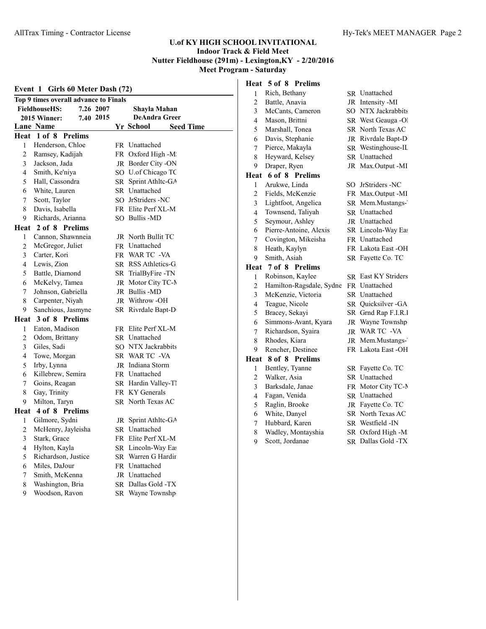| Event 1 Girls 60 Meter Dash (72) |                                       |           |    |                       |                  |  |
|----------------------------------|---------------------------------------|-----------|----|-----------------------|------------------|--|
|                                  | Top 9 times overall advance to Finals |           |    |                       |                  |  |
|                                  | <b>FieldhouseHS:</b>                  | 7.26 2007 |    | Shayla Mahan          |                  |  |
|                                  | 2015 Winner:                          | 7.40 2015 |    | <b>DeAndra Greer</b>  |                  |  |
|                                  | Lane Name                             |           |    | Yr School             | <b>Seed Time</b> |  |
| Heat                             | 1 of 8 Prelims                        |           |    |                       |                  |  |
| 1                                | Henderson, Chloe                      |           |    | FR Unattached         |                  |  |
| 2                                | Ramsey, Kadijah                       |           |    | FR Oxford High -M     |                  |  |
| 3                                | Jackson, Jada                         |           |    | JR Border City -ON    |                  |  |
| 4                                | Smith, Ke'niya                        |           |    | SO U.of Chicago TC    |                  |  |
| 5                                | Hall, Cassondra                       |           |    | SR Sprint Athltc-GA   |                  |  |
| 6                                | White, Lauren                         |           |    | SR Unattached         |                  |  |
| 7                                | Scott, Taylor                         |           |    | SO JrStriders -NC     |                  |  |
| 8                                | Davis, Isabella                       |           |    | FR Elite Perf XL-M    |                  |  |
| 9                                | Richards, Arianna                     |           |    | SO Bullis -MD         |                  |  |
|                                  | Heat 2 of 8 Prelims                   |           |    |                       |                  |  |
| 1                                | Cannon, Shawnneia                     |           |    | JR North Bullit TC    |                  |  |
| 2                                | McGregor, Juliet                      |           |    | FR Unattached         |                  |  |
| 3                                | Carter, Kori                          |           |    | FR WAR TC -VA         |                  |  |
| 4                                | Lewis, Zion                           |           |    | SR RSS Athletics-G    |                  |  |
| 5                                | Battle, Diamond                       |           |    | SR TrialByFire -TN    |                  |  |
| 6                                | McKelvy, Tamea                        |           |    | JR Motor City TC-N    |                  |  |
| 7                                | Johnson, Gabriella                    |           |    | JR Bullis -MD         |                  |  |
| 8                                | Carpenter, Niyah                      |           |    | <b>IR</b> Withrow -OH |                  |  |
| 9                                | Sanchious, Jasmyne                    |           |    | SR Rivrdale Bapt-D    |                  |  |
|                                  | Heat 3 of 8 Prelims                   |           |    |                       |                  |  |
| 1                                | Eaton, Madison                        |           |    | FR Elite Perf XL-M    |                  |  |
| 2                                | Odom, Brittany                        |           |    | SR Unattached         |                  |  |
| 3                                | Giles, Sadi                           |           |    | SO NTX Jackrabbits    |                  |  |
| 4                                | Towe, Morgan                          |           |    | SR WAR TC -VA         |                  |  |
| 5                                | Irby, Lynna                           |           |    | JR Indiana Storm      |                  |  |
| 6                                | Killebrew, Semira                     |           |    | FR Unattached         |                  |  |
| 7                                | Goins, Reagan                         |           |    | SR Hardin Valley-Tl   |                  |  |
| 8                                | Gay, Trinity                          |           |    | FR KY Generals        |                  |  |
| 9                                | Milton, Taryn                         |           |    | SR North Texas AC     |                  |  |
|                                  | Heat 4 of 8 Prelims                   |           |    |                       |                  |  |
| 1                                | Gilmore, Sydni                        |           |    | JR Sprint Athltc-GA   |                  |  |
| 2                                | McHenry, Jayleisha                    |           |    | SR Unattached         |                  |  |
| 3                                | Stark, Grace                          |           |    | FR Elite Perf XL-M    |                  |  |
| 4                                | Hylton, Kayla                         |           |    | SR Lincoln-Way Eas    |                  |  |
| 5                                | Richardson, Justice                   |           | SR | Warren G Hardir       |                  |  |
| 6                                | Miles, DaJour                         |           |    | FR Unattached         |                  |  |
| 7                                | Smith, McKenna                        |           |    | JR Unattached         |                  |  |
| 8                                | Washington, Bria                      |           | SR | Dallas Gold -TX       |                  |  |
| 9                                | Woodson, Ravon                        |           |    | SR Wayne Townshp      |                  |  |

# **Heat 5 of 8 Prelims** 1 Rich, Bethany SR Unattached<br>
2 Battle, Anavia JR Intensity -M 2 Battle, Anavia JR Intensity -MI 3 McCants, Cameron SO NTX Jackrabbits 4 Mason, Brittni SR West Geauga -Ol 5 Marshall, Tonea SR North Texas AC 6 Davis, Stephanie JR Rivrdale Bapt-D 7 Pierce, Makayla SR Westinghouse-IL<br>8 Heyward, Kelsey SR Unattached 8 Heyward, Kelsey 9 Draper, Ryen JR Max.Output -MI **Heat 6 of 8 Prelims** 1 Arukwe, Linda SO JrStriders -NC 2 Fields, McKenzie FR Max.Output -MI 3 Lightfoot, Angelica SR Mem.Mustangs-4 Townsend, Taliyah SR Unattached<br>5 Sevmour Ashley JR Unattached 5 Seymour, Ashley 6 Pierre-Antoine, Alexis SR Lincoln-Way East 7 Covington, Mikeisha FR Unattached 8 Heath, Kaylyn FR Lakota East -OH 9 Smith, Asiah SR Fayette Co. TC **Heat 7 of 8 Prelims** 1 Robinson, Kaylee SR East KY Striders 2 Hamilton-Ragsdale, Sydne FR Unattached 3 McKenzie, Victoria SR Unattached 4 Teague, Nicole SR Quicksilver -GA 5 Bracey, Sekayi SR Grnd Rap F.I.R. 6 Simmons-Avant, Kyara JR Wayne Townshp-7 Richardson, Syaira JR WAR TC -VA<br>8 Rhodes. Kiara JR Mem. Mustangs 8 Rhodes, Kiara JR Mem.Mustangs-9 Rencher, Destinee FR Lakota East -OH **Heat 8 of 8 Prelims** 1 Bentley, Tyanne SR Fayette Co. TC 2 Walker, Asia SR Unattached

- 3 Barksdale, Janae FR Motor City TC-MI 4 Fagan, Venida SR Unattached 5 Raglin, Brooke JR Fayette Co. TC 6 White, Danyel SR North Texas AC 7 Hubbard, Karen SR Westfield -IN 8 Wadley, Montayshia SR Oxford High -M
- 9 Scott, Jordanae SR Dallas Gold -TX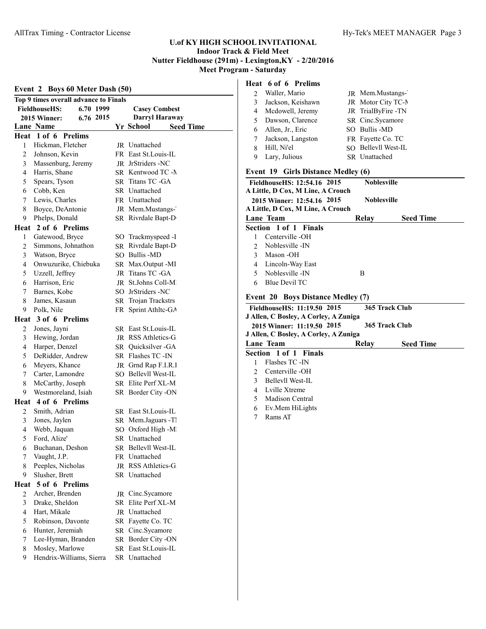# AllTrax Timing - Contractor License **Hy-Tek's MEET MANAGER** Page 3

# **U.of KY HIGH SCHOOL INVITATIONAL Indoor Track & Field Meet Nutter Fieldhouse (291m) - Lexington,KY - 2/20/2016 Meet Program - Saturday**

|                | Event 2 Boys 60 Meter Dash (50)       |  |                               |  |  |
|----------------|---------------------------------------|--|-------------------------------|--|--|
|                | Top 9 times overall advance to Finals |  |                               |  |  |
|                | <b>FieldhouseHS:</b><br>6.70 1999     |  | <b>Casey Combest</b>          |  |  |
|                | 2015 Winner:<br>6.76 2015             |  | Darryl Haraway                |  |  |
|                | Lane Name                             |  | Yr School<br><b>Seed Time</b> |  |  |
| Heat           | 1 of 6 Prelims                        |  |                               |  |  |
| 1              | Hickman, Fletcher                     |  | JR Unattached                 |  |  |
| 2              | Johnson, Kevin                        |  | FR East St. Louis-IL          |  |  |
| 3              | Massenburg, Jeremy                    |  | JR JrStriders -NC             |  |  |
| 4              | Harris, Shane                         |  | SR Kentwood TC -N             |  |  |
| 5              | Spears, Tyson                         |  | SR Titans TC -GA              |  |  |
| 6              | Cobb, Ken                             |  | SR Unattached                 |  |  |
| 7              | Lewis, Charles                        |  | FR Unattached                 |  |  |
| 8              | Boyce, DeAntonie                      |  | JR Mem.Mustangs-              |  |  |
| 9              | Phelps, Donald                        |  | SR Rivrdale Bapt-D            |  |  |
|                | Heat 2 of 6 Prelims                   |  |                               |  |  |
| 1              | Gatewood, Bryce                       |  | SO Trackmyspeed -I            |  |  |
| 2              | Simmons, Johnathon                    |  | SR Rivrdale Bapt-D            |  |  |
| 3              | Watson, Bryce                         |  | SO Bullis -MD                 |  |  |
| 4              | Onwuzurike, Chiebuka                  |  | SR Max.Output -MI             |  |  |
| 5              | Uzzell, Jeffrey                       |  | JR Titans TC -GA              |  |  |
| 6              | Harrison, Eric                        |  | JR St.Johns Coll-M            |  |  |
| 7              | Barnes, Kobe                          |  | SO JrStriders -NC             |  |  |
| 8              | James, Kasaun                         |  | SR Trojan Trackstrs           |  |  |
| 9              | Polk, Nile                            |  | FR Sprint Athltc-GA           |  |  |
|                | Heat 3 of 6 Prelims                   |  |                               |  |  |
| 2              | Jones, Jayni                          |  | SR East St. Louis-IL          |  |  |
| 3              | Hewing, Jordan                        |  | JR RSS Athletics-G            |  |  |
| 4              | Harper, Denzel                        |  | SR Quicksilver - GA           |  |  |
| 5              | DeRidder, Andrew                      |  | SR Flashes TC -IN             |  |  |
| 6              | Meyers, Khance                        |  | JR Grnd Rap F.I.R.I           |  |  |
| 7              | Carter, Lamondre                      |  | SO Bellevll West-IL           |  |  |
| 8              | McCarthy, Joseph                      |  | SR Elite Perf XL-M            |  |  |
| 9              | Westmoreland, Isiah                   |  | SR Border City -ON            |  |  |
|                | Heat 4 of 6 Prelims                   |  |                               |  |  |
| 2              | Smith, Adrian                         |  | SR East St. Louis-IL          |  |  |
| 3              | Jones, Jaylen                         |  | SR Mem.Jaguars -Tl            |  |  |
| 4              | Webb, Jaquan                          |  | SO Oxford High -M             |  |  |
| 5              | Ford, Alize'                          |  | SR Unattached                 |  |  |
| 6              | Buchanan, Deshon                      |  | SR Bellevll West-IL           |  |  |
| 7              | Vaught, J.P.                          |  | FR Unattached                 |  |  |
| 8              | Peeples, Nicholas                     |  | JR RSS Athletics-G            |  |  |
| 9              | Slusher, Brett                        |  | SR Unattached                 |  |  |
| Heat           | 5 of 6 Prelims                        |  |                               |  |  |
| 2              | Archer, Brenden                       |  | JR Cinc.Sycamore              |  |  |
| 3              | Drake, Sheldon                        |  | SR Elite Perf XL-M            |  |  |
| $\overline{4}$ | Hart, Mikale                          |  | JR Unattached                 |  |  |
| 5              | Robinson, Davonte                     |  | SR Fayette Co. TC             |  |  |
| 6              | Hunter, Jeremiah                      |  | SR Cinc.Sycamore              |  |  |
| 7              | Lee-Hyman, Branden                    |  | SR Border City -ON            |  |  |
| 8              | Mosley, Marlowe                       |  | SR East St.Louis-IL           |  |  |
| 9              | Hendrix-Williams, Sierra              |  | SR Unattached                 |  |  |

# **Heat 6 of 6 Prelims**

|   | 2 Waller, Mario     | JR Mem.Mustangs-     |
|---|---------------------|----------------------|
| 3 | Jackson, Keishawn   | JR Motor City TC-N   |
|   | 4 Mcdowell, Jeremy  | JR TrialByFire -TN   |
|   | 5 Dawson, Clarence  | SR Cinc.Sycamore     |
|   | 6 Allen, Jr., Eric  | SO Bullis -MD        |
|   | 7 Jackson, Langston | FR Fayette Co. TC    |
| 8 | Hill, Ni'el         | SO Bellevll West-IL  |
|   | Lary, Julious       | <b>SR</b> Unattached |

# **Event 19 Girls Distance Medley (6)**

|                                               | FieldhouseHS: 12:54.16 2015                                         | <b>Noblesville</b> |                  |  |  |
|-----------------------------------------------|---------------------------------------------------------------------|--------------------|------------------|--|--|
|                                               | A Little, D Cox, M Line, A Crouch                                   |                    |                  |  |  |
|                                               | 2015 Winner: 12:54.16 2015                                          | <b>Noblesville</b> |                  |  |  |
|                                               | A Little, D Cox, M Line, A Crouch                                   |                    |                  |  |  |
|                                               | Lane Team                                                           | Relay              | <b>Seed Time</b> |  |  |
|                                               | Section 1 of 1 Finals                                               |                    |                  |  |  |
| 1                                             | Centerville -OH                                                     |                    |                  |  |  |
| $\mathfrak{D}$                                | Noblesville - IN                                                    |                    |                  |  |  |
| 3                                             | Mason -OH                                                           |                    |                  |  |  |
| 4                                             | Lincoln-Way East                                                    |                    |                  |  |  |
| 5                                             | Noblesville - IN                                                    | B                  |                  |  |  |
| 6                                             | <b>Blue Devil TC</b>                                                |                    |                  |  |  |
|                                               | <b>Event 20 Boys Distance Medley (7)</b>                            |                    |                  |  |  |
| 365 Track Club<br>FieldhouseHS: 11:19.50 2015 |                                                                     |                    |                  |  |  |
|                                               |                                                                     |                    |                  |  |  |
|                                               |                                                                     |                    |                  |  |  |
|                                               | J Allen, C Bosley, A Corley, A Zuniga<br>2015 Winner: 11:19.50 2015 |                    | 365 Track Club   |  |  |
|                                               | J Allen, C Bosley, A Corley, A Zuniga                               |                    |                  |  |  |
|                                               | Lane Team                                                           | Relay              | <b>Seed Time</b> |  |  |
|                                               | Section 1 of 1 Finals                                               |                    |                  |  |  |
| 1                                             | Flashes TC -IN                                                      |                    |                  |  |  |
| 2                                             | Centerville -OH                                                     |                    |                  |  |  |
| $\mathcal{E}$                                 | Bellevll West-IL                                                    |                    |                  |  |  |
| $\overline{4}$                                | Lville Xtreme                                                       |                    |                  |  |  |
| 5.                                            | Madison Central                                                     |                    |                  |  |  |
| 6                                             | Ev.Mem HiLights                                                     |                    |                  |  |  |
|                                               |                                                                     |                    |                  |  |  |
| 7                                             | Rams AT                                                             |                    |                  |  |  |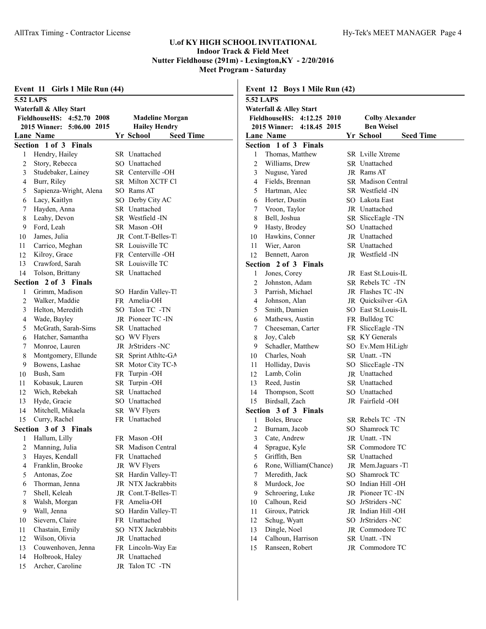| Event 11 Girls 1 Mile Run (44) |                            |  | Event 12 Boys 1 Mile Run (42) |                                                      |                           |  |                               |  |
|--------------------------------|----------------------------|--|-------------------------------|------------------------------------------------------|---------------------------|--|-------------------------------|--|
|                                | <b>5.52 LAPS</b>           |  |                               | <b>5.52 LAPS</b>                                     |                           |  |                               |  |
|                                | Waterfall & Alley Start    |  |                               | Waterfall & Alley Start                              |                           |  |                               |  |
|                                | FieldhouseHS: 4:52.70 2008 |  | <b>Madeline Morgan</b>        | <b>Colby Alexander</b><br>FieldhouseHS: 4:12.25 2010 |                           |  |                               |  |
|                                | 2015 Winner: 5:06.00 2015  |  | <b>Hailey Hendry</b>          |                                                      | 2015 Winner: 4:18.45 2015 |  | <b>Ben Weisel</b>             |  |
|                                | <b>Lane Name</b>           |  | <b>Seed Time</b><br>Yr School |                                                      | Lane Name                 |  | Yr School<br><b>Seed Time</b> |  |
|                                | Section 1 of 3 Finals      |  |                               |                                                      | Section 1 of 3 Finals     |  |                               |  |
| 1                              | Hendry, Hailey             |  | SR Unattached                 |                                                      | Thomas, Matthew           |  | <b>SR</b> Lville Xtreme       |  |
| 2                              | Story, Rebecca             |  | SO Unattached                 | 2                                                    | Williams, Drew            |  | SR Unattached                 |  |
| 3                              | Studebaker, Lainey         |  | SR Centerville-OH             | 3                                                    | Nuguse, Yared             |  | JR Rams AT                    |  |
| 4                              | Burr, Riley                |  | SR Milton XCTF Cl             | 4                                                    | Fields, Brennan           |  | <b>SR</b> Madison Central     |  |
| 5                              | Sapienza-Wright, Alena     |  | SO Rams AT                    | 5                                                    | Hartman, Alec             |  | SR Westfield -IN              |  |
| 6                              | Lacy, Kaitlyn              |  | SO Derby City AC              |                                                      | Horter, Dustin            |  | SO Lakota East                |  |
| 7                              | Hayden, Anna               |  | SR Unattached                 |                                                      | Vroon, Taylor             |  | JR Unattached                 |  |
| 8                              | Leahy, Devon               |  | SR Westfield -IN              | 8                                                    | Bell, Joshua              |  | SR SliccEagle-TN              |  |
| 9                              | Ford, Leah                 |  | SR Mason-OH                   | 9                                                    | Hasty, Brodey             |  | SO Unattached                 |  |
| 10                             | James, Julia               |  | <b>IR</b> Cont.T-Belles-T     | 10                                                   | Hawkins, Conner           |  | <b>IR</b> Unattached          |  |
| 11                             | Carrico, Meghan            |  | SR Louisville TC              | 11                                                   | Wier, Aaron               |  | SR Unattached                 |  |
| 12                             | Kilroy, Grace              |  | FR Centerville-OH             | 12                                                   | Bennett, Aaron            |  | JR Westfield -IN              |  |
| 13                             | Crawford, Sarah            |  | SR Louisville TC              |                                                      | Section 2 of 3 Finals     |  |                               |  |
| 14                             | Tolson, Brittany           |  | SR Unattached                 | 1                                                    | Jones, Corey              |  | JR East St.Louis-IL           |  |
|                                | Section 2 of 3 Finals      |  |                               | 2                                                    | Johnston, Adam            |  | SR Rebels TC -TN              |  |
|                                | Grimm, Madison             |  | SO Hardin Valley-Tl           | 3                                                    | Parrish, Michael          |  | JR Flashes TC -IN             |  |
| 2                              | Walker, Maddie             |  | FR Amelia-OH                  | 4                                                    | Johnson, Alan             |  | JR Quicksilver - GA           |  |
| 3                              | Helton, Meredith           |  | SO Talon TC -TN               | 5                                                    | Smith, Damien             |  | SO East St. Louis-IL          |  |
| 4                              | Wade, Bayley               |  | JR Pioneer TC -IN             | 6                                                    | Mathews, Austin           |  | FR Bulldog TC                 |  |
| 5                              | McGrath, Sarah-Sims        |  | SR Unattached                 |                                                      | Cheeseman, Carter         |  | FR SliceEagle-TN              |  |
| 6                              | Hatcher, Samantha          |  | SO WV Flyers                  | 8                                                    | Joy, Caleb                |  | SR KY Generals                |  |
| 7                              | Monroe, Lauren             |  | JR JrStriders -NC             | 9                                                    | Schadler, Matthew         |  | SO Ev.Mem HiLight             |  |
| 8                              | Montgomery, Ellunde        |  | SR Sprint Athltc-GA           | 10                                                   | Charles, Noah             |  | SR Unatt. -TN                 |  |
| 9                              | Bowens, Lashae             |  | SR Motor City TC-N            | 11                                                   | Holliday, Davis           |  | SO SliccEagle-TN              |  |
| 10                             | Bush, Sam                  |  | FR Turpin-OH                  | 12                                                   | Lamb, Colin               |  | JR Unattached                 |  |
| 11                             | Kobasuk, Lauren            |  | SR Turpin-OH                  | 13                                                   | Reed, Justin              |  | SR Unattached                 |  |
| 12                             | Wich, Rebekah              |  | SR Unattached                 | 14                                                   | Thompson, Scott           |  | SO Unattached                 |  |
| 13                             | Hyde, Gracie               |  | SO Unattached                 | 15                                                   | Birdsall, Zach            |  | JR Fairfield -OH              |  |
| 14                             | Mitchell, Mikaela          |  | SR WV Flyers                  |                                                      | Section 3 of 3 Finals     |  |                               |  |
| 15                             | Curry, Rachel              |  | FR Unattached                 |                                                      | Boles, Bruce              |  | SR Rebels TC -TN              |  |
|                                | Section 3 of 3 Finals      |  |                               | 2                                                    | Burnam, Jacob             |  | SO Shamrock TC                |  |
|                                | Hallum, Lilly              |  | FR Mason-OH                   | 3                                                    | Cate, Andrew              |  | JR Unatt. -TN                 |  |
| 2                              | Manning, Julia             |  | SR Madison Central            | 4                                                    | Sprague, Kyle             |  | SR Commodore TC               |  |
| 3                              | Hayes, Kendall             |  | FR Unattached                 | 5                                                    | Griffith, Ben             |  | SR Unattached                 |  |
| 4                              | Franklin, Brooke           |  | JR WV Flyers                  | 6                                                    | Rone, William(Chance)     |  | JR Mem.Jaguars -Tl            |  |
| 5                              | Antonas, Zoe               |  | SR Hardin Valley-Tl           |                                                      | Meredith, Jack            |  | SO Shamrock TC                |  |
| 6                              | Thorman, Jenna             |  | JR NTX Jackrabbits            | 8                                                    | Murdock, Joe              |  | SO Indian Hill -OH            |  |
| 7                              | Shell, Keleah              |  | JR Cont.T-Belles-T            | 9                                                    | Schroering, Luke          |  | JR Pioneer TC -IN             |  |
| 8                              | Walsh, Morgan              |  | FR Amelia-OH                  | 10                                                   | Calhoun, Reid             |  | SO JrStriders -NC             |  |
| 9                              | Wall, Jenna                |  | SO Hardin Valley-Tl           | 11                                                   | Giroux, Patrick           |  | JR Indian Hill -OH            |  |
| 10                             | Sievern, Claire            |  | FR Unattached                 | 12                                                   | Schug, Wyatt              |  | SO JrStriders -NC             |  |
| 11                             | Chastain, Emily            |  | SO NTX Jackrabbits            | 13                                                   | Dingle, Noel              |  | JR Commodore TC               |  |
| 12                             | Wilson, Olivia             |  | JR Unattached                 | 14                                                   | Calhoun, Harrison         |  | SR Unatt. -TN                 |  |
| 13                             | Couwenhoven, Jenna         |  | FR Lincoln-Way Eas            | 15                                                   | Ranseen, Robert           |  | JR Commodore TC               |  |
| 14                             | Holbrook, Haley            |  | JR Unattached                 |                                                      |                           |  |                               |  |
| 15                             | Archer, Caroline           |  | JR Talon TC -TN               |                                                      |                           |  |                               |  |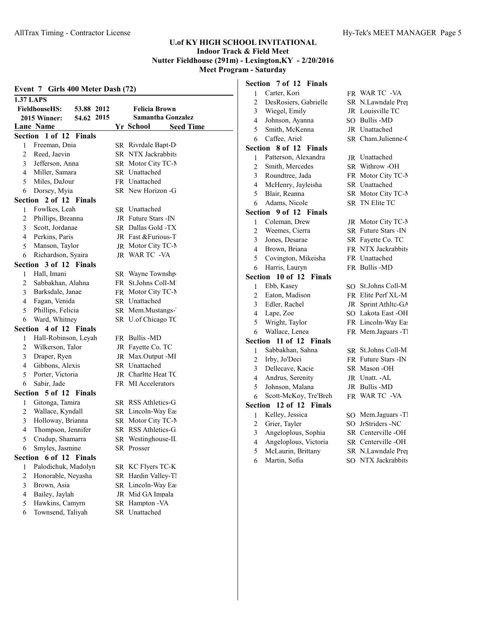| Event 7 Girls 400 Meter Dash (72) |                                           |    |                               |  |
|-----------------------------------|-------------------------------------------|----|-------------------------------|--|
|                                   | <b>1.37 LAPS</b>                          |    |                               |  |
|                                   | <b>FieldhouseHS:</b><br>53.88 2012        |    | <b>Felicia Brown</b>          |  |
|                                   | 54.62 2015<br>2015 Winner:                |    | <b>Samantha Gonzalez</b>      |  |
|                                   | Lane Name                                 |    | Yr School<br><b>Seed Time</b> |  |
|                                   | Section 1 of 12<br><b>Finals</b>          |    |                               |  |
| 1                                 | Freeman, Dnia                             |    | SR Rivrdale Bapt-D            |  |
| 2                                 | Reed, Jaevin                              |    | SR NTX Jackrabbits            |  |
| 3                                 | Jefferson, Anna                           |    | SR Motor City TC-N            |  |
| 4                                 | Miller, Samara                            |    | SR Unattached                 |  |
| 5                                 | Miles, DaJour                             |    | FR Unattached                 |  |
| 6                                 | Dorsey, Myia                              |    | SR New Horizon -G             |  |
| Section                           | 2 of 12 Finals                            |    |                               |  |
| 1                                 | Fowlkes, Leah                             |    | SR Unattached                 |  |
| 2                                 | Phillips, Breanna                         |    | JR Future Stars - IN          |  |
| 3                                 | Scott, Jordanae                           |    | SR Dallas Gold -TX            |  |
| 4                                 | Perkins, Paris                            |    | JR Fast & Furious-T           |  |
| 5                                 | Manson, Taylor                            |    | JR Motor City TC-N            |  |
| 6                                 | Richardson, Syaira                        |    | JR WARTC -VA                  |  |
| Section                           | 3 of 12 Finals                            |    |                               |  |
| 1                                 | Hall, Imani                               |    | SR Wayne Townshp              |  |
| 2                                 | Sabbakhan, Alahna                         |    | FR St.Johns Coll-M            |  |
| 3                                 | Barksdale, Janae                          |    | FR Motor City TC-N            |  |
| 4                                 | Fagan, Venida                             |    | SR Unattached                 |  |
| 5                                 | Phillips, Felicia                         |    | SR Mem.Mustangs-              |  |
| 6                                 | Ward, Whitney                             |    | SR U.of Chicago TC            |  |
|                                   | Section 4 of 12 Finals                    |    |                               |  |
| 1                                 | Hall-Robinson, Leyah                      |    | FR Bullis -MD                 |  |
| 2                                 | Wilkerson, Talor                          |    | JR Fayette Co. TC             |  |
| 3                                 | Draper, Ryen                              |    | JR Max.Output -MI             |  |
| 4                                 | Gibbons, Alexis                           |    | SR Unattached                 |  |
| 5                                 | Porter, Victoria                          |    | JR Charltte Heat TC           |  |
| 6                                 | Sabir, Jade                               |    | FR MI Accelerators            |  |
|                                   | Section 5 of 12<br>Finals                 |    |                               |  |
| 1                                 | Gitonga, Tamira                           |    | SR RSS Athletics-G            |  |
| $\overline{\mathbf{c}}$           | Wallace, Kyndall                          |    | SR Lincoln-Way Eas            |  |
| 3                                 | Holloway, Brianna                         |    | SR Motor City TC-N            |  |
| 4<br>5                            | Thompson, Jennifer                        |    | SR RSS Athletics-G            |  |
|                                   | Crudup, Shamarra                          |    | SR Westinghouse-II            |  |
| 6                                 | Smyles, Jasmine<br>Section 6 of 12 Finals |    | SR Prosser                    |  |
|                                   | Palodichuk, Madolyn                       |    | SR KC Flyers TC-K             |  |
| 1<br>$\overline{c}$               | Honorable, Neyasha                        | SR | Hardin Valley-Tl              |  |
| 3                                 | Brown, Asia                               |    | SR Lincoln-Way Eas            |  |
| 4                                 | Bailey, Jaylah                            |    | JR Mid GA Impala              |  |
| 5                                 | Hawkins, Camyrn                           |    | SR Hampton - VA               |  |
| 6                                 | Townsend, Taliyah                         |    | SR Unattached                 |  |
|                                   |                                           |    |                               |  |

3 Wiegel, Emily JR Louisville TC 4 Johnson, Ayanna SO Bullis -MD 5 Smith, McKenna JR Unattached 6 Caffee, Ariel SR Cham.Julienne-C 1 Patterson, Alexandra JR Unattached<br>2 Smith Mercedes SR Withrow-OH 3 Roundtree, Jada FR Motor City TC-M 4 McHenry, Jayleisha SR Unattached 5 Blair, Reanna SR Motor City TC-M 6 Adams, Nicole SR TN Elite TC 1 Coleman, Drew JR Motor City TC-N<br>2 Weemes, Cierra SR Future Stars -IN 2 Weemes, Cierra SR Future Stars -IN 3 Jones, Desarae SR Fayette Co. TC 4 Brown, Briana FR NTX Jackrabbits 5 Covington, Mikeisha FR Unattached 6 Harris, Lauryn FR Bullis -MD 1 Ebb, Kasey SO St.Johns Coll-MD 2 Eaton, Madison FR Elite Perf XL-MI 3 Edler, Rachel JR Sprint Athltc-GA 4 Lape, Zoe SO Lakota East -OH 5 Wright, Taylor FR Lincoln-Way East 6 Wallace, Lenea FR Mem.Jaguars -TI 1 Sabbakhan, Sahna SR St.Johns Coll-M.<br>2 Irby, Jo'Deci FR Future Stars -IN 2 Irby, Jo'Deci FR Future Stars -IN 3 Dellecave, Kacie SR Mason -OH 4 Andrus, Serenity JR Unatt. -AL 5 Johnson, Malana JR Bullis -MD 6 Scott-McKoy, Tre'Breh FR WAR TC -VA 1 Kelley, Jessica SO Mem.Jaguars -Tl<br>2 Grier, Tayler SO JrStriders -NC 2 Grier, Tayler SO JrStriders -NC 3 Angeloplous, Sophia SR Centerville -OH 4 Angeloplous, Victoria SR Centerville -OH 5 McLaurin, Brittany SR N.Lawndale Prep 6 Martin, Sofia SO NTX Jackrabbits

# **Section 7 of 12 Finals** 1 Carter, Kori FR WAR TC -VA

**Section 8 of 12 Finals**

2 Smith, Mercedes

**Section 9 of 12 Finals**

**Section 10 of 12 Finals**

**Section 11 of 12 Finals**

**Section 12 of 12 Finals**

2 DesRosiers, Gabrielle SR N.Lawndale Prep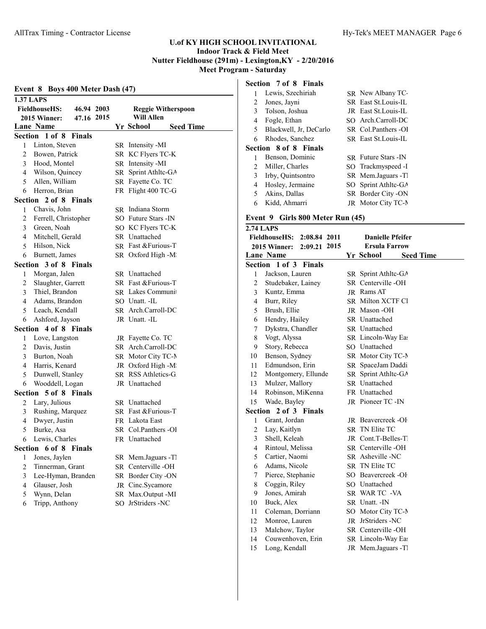|                | Event 8 Boys 400 Meter Dash (47)   |  |  |                                      |  |
|----------------|------------------------------------|--|--|--------------------------------------|--|
|                | <b>1.37 LAPS</b>                   |  |  |                                      |  |
|                | <b>FieldhouseHS:</b><br>46.94 2003 |  |  | <b>Reggie Witherspoon</b>            |  |
|                | 47.16 2015<br>2015 Winner:         |  |  | <b>Will Allen</b>                    |  |
|                | <b>Lane Name</b>                   |  |  | Yr School<br><b>Seed Time</b>        |  |
|                | Section 1 of 8<br>Finals           |  |  |                                      |  |
| 1              | Linton, Steven                     |  |  | SR Intensity -MI                     |  |
| 2              | Bowen, Patrick                     |  |  | SR KC Flyers TC-K                    |  |
| 3              | Hood, Montel                       |  |  | SR Intensity -MI                     |  |
| 4              | Wilson, Quincey                    |  |  | SR Sprint Athltc-GA                  |  |
| 5              | Allen, William                     |  |  | SR Fayette Co. TC                    |  |
| 6              | Herron, Brian                      |  |  | FR Flight 400 TC-G                   |  |
| Section        | 2 of 8 Finals                      |  |  |                                      |  |
| 1              | Chavis, John                       |  |  | <b>SR</b> Indiana Storm              |  |
| 2              | Ferrell, Christopher               |  |  | SO Future Stars - IN                 |  |
| 3              | Green, Noah                        |  |  | SO KC Flyers TC-K                    |  |
| 4              | Mitchell, Gerald                   |  |  | SR Unattached                        |  |
| 5              | Hilson, Nick                       |  |  | SR Fast & Furious-T                  |  |
| 6              | Burnett, James                     |  |  | SR Oxford High -M                    |  |
| Section        | 3 of 8 Finals                      |  |  |                                      |  |
| 1              | Morgan, Jalen                      |  |  | SR Unattached                        |  |
| 2              | Slaughter, Garrett                 |  |  | SR Fast & Furious-T                  |  |
| 3              | Thiel, Brandon                     |  |  | <b>SR</b> Lakes Communi              |  |
| 4              | Adams, Brandon                     |  |  | SO Unatt. -IL                        |  |
| 5              | Leach, Kendall                     |  |  | SR Arch.Carroll-DC                   |  |
| 6              | Ashford, Jayson                    |  |  | JR Unatt. -IL                        |  |
|                | Section 4 of 8 Finals              |  |  |                                      |  |
| 1              | Love, Langston                     |  |  | JR Fayette Co. TC                    |  |
| 2              | Davis, Justin                      |  |  | SR Arch.Carroll-DC                   |  |
| 3              | Burton, Noah                       |  |  | SR Motor City TC-N                   |  |
| 4              | Harris, Kenard                     |  |  | JR Oxford High -M                    |  |
| 5              | Dunwell, Stanley                   |  |  | SR RSS Athletics-G                   |  |
| 6              | Wooddell, Logan                    |  |  | JR Unattached                        |  |
|                | <b>Section 5 of 8 Finals</b>       |  |  |                                      |  |
|                | Lary, Julious                      |  |  |                                      |  |
| $\overline{2}$ |                                    |  |  | SR Unattached<br>SR Fast & Furious-T |  |
| 3              | Rushing, Marquez                   |  |  | FR Lakota East                       |  |
| 4              | Dwyer, Justin                      |  |  |                                      |  |
| 5              | Burke, Asa                         |  |  | SR Col.Panthers -Ol                  |  |
| 6.             | Lewis, Charles                     |  |  | FR Unattached                        |  |
|                | Section 6 of 8 Finals              |  |  |                                      |  |
| 1              | Jones, Jaylen                      |  |  | SR Mem.Jaguars -Tl                   |  |
| $\overline{c}$ | Tinnerman, Grant                   |  |  | SR Centerville-OH                    |  |
| 3              | Lee-Hyman, Branden                 |  |  | SR Border City -ON                   |  |
| $\overline{4}$ | Glauser, Josh                      |  |  | JR Cinc.Sycamore                     |  |
| 5              | Wynn, Delan<br>Tripp, Anthony      |  |  | SR Max.Output -MI                    |  |
| 6              |                                    |  |  | SO JrStriders -NC                    |  |
|                |                                    |  |  |                                      |  |

# **Section 7 of 8 Finals**

| 1  | Lewis, Szechiriah      | SR New Albany TC-           |
|----|------------------------|-----------------------------|
| 2  | Jones, Jayni           | <b>SR</b> East St. Louis-IL |
| 3  | Tolson, Joshua         | JR East St. Louis-IL        |
| 4  | Fogle, Ethan           | SO Arch.Carroll-DC          |
| 5. | Blackwell, Jr. DeCarlo | SR Col.Panthers -OI         |
| 6  | Rhodes, Sanchez        | SR East St. Louis-IL        |
|    | Section 8 of 8 Finals  |                             |
| 1  | Benson, Dominic        | <b>SR</b> Future Stars - IN |
| 2  | Miller, Charles        | SO Trackmyspeed -I          |
| 3  | Irby, Quintsontro      | SR Mem.Jaguars -TI          |
| 4  | Hosley, Jermaine       | SO Sprint Athlte-GA         |
| 5. | Akins, Dallas          | SR Border City -ON          |
| 6  | Kidd, Ahmarri          | <b>JR</b> Motor City TC-N   |

# **Event 9 Girls 800 Meter Run (45)**

|                         | <b>2.74 LAPS</b>                     |                               |
|-------------------------|--------------------------------------|-------------------------------|
|                         | <b>FieldhouseHS:</b><br>2:08.84 2011 | <b>Danielle Pfeifer</b>       |
|                         | 2:09.21 2015<br><b>2015 Winner:</b>  | <b>Ersula Farrow</b>          |
|                         | <b>Lane Name</b>                     | Yr School<br><b>Seed Time</b> |
|                         | Section 1 of 3 Finals                |                               |
| $\mathbf{1}$            | Jackson, Lauren                      | SR Sprint Athlte-GA           |
| $\overline{c}$          | Studebaker, Lainey                   | SR Centerville-OH             |
| $\overline{\mathbf{3}}$ | Kuntz, Emma                          | <b>IR</b> Rams AT             |
| $\overline{4}$          | Burr, Riley                          | <b>SR Milton XCTF Cl</b>      |
| 5                       | Brush, Ellie                         | <b>JR</b> Mason -OH           |
| 6                       | Hendry, Hailey                       | SR Unattached                 |
| 7                       | Dykstra, Chandler                    | SR Unattached                 |
| 8                       | Vogt, Alyssa                         | SR Lincoln-Way Eas            |
| 9                       | Story, Rebecca                       | SO Unattached                 |
| 10                      | Benson, Sydney                       | SR Motor City TC-N            |
| 11                      | Edmundson, Erin                      | SR SpaceJam Daddi             |
| 12                      | Montgomery, Ellunde                  | SR Sprint Athltc-GA           |
| 13                      | Mulzer, Mallory                      | SR Unattached                 |
| 14                      | Robinson, MiKenna                    | FR Unattached                 |
| 15                      | Wade, Bayley                         | JR Pioneer TC -IN             |
|                         | Section 2 of 3 Finals                |                               |
| 1                       | Grant, Jordan                        | JR Beavercreek-OF             |
| $\overline{c}$          | Lay, Kaitlyn                         | <b>SR TN Elite TC</b>         |
| 3                       | Shell, Keleah                        | JR Cont.T-Belles-Tl           |
| $\overline{\mathbf{4}}$ | Rintoul, Melissa                     | SR Centerville-OH             |
| 5                       | Cartier, Naomi                       | SR Asheville -NC              |
| 6                       | Adams, Nicole                        | SR TN Elite TC                |
| 7                       | Pierce, Stephanie                    | SO Beavercreek -OF            |
| 8                       | Coggin, Riley                        | SO Unattached                 |
| 9                       | Jones, Amirah                        | SR WARTC - VA                 |
| 10                      | Buck, Alex                           | SR Unatt. - IN                |
| 11                      | Coleman, Dorriann                    | SO Motor City TC-N            |
| 12                      | Monroe, Lauren                       | JR JrStriders -NC             |
| 13                      | Malchow, Taylor                      | SR Centerville-OH             |
| 14                      | Couwenhoven, Erin                    | SR Lincoln-Way Eas            |
| 15                      | Long, Kendall                        | JR Mem.Jaguars -Tl            |
|                         |                                      |                               |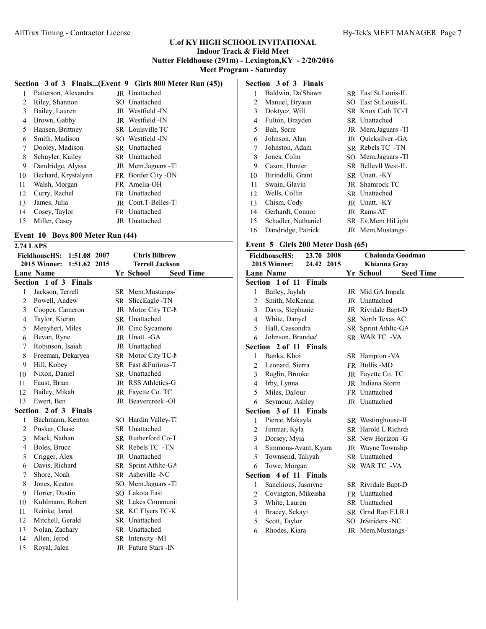# **Section 3 of 3 Finals...(Event 9 Girls 800 Meter Run (45))**

| 1  | Patterson, Alexandra | JR Unattached             |
|----|----------------------|---------------------------|
| 2  | Riley, Shannon       | SO Unattached             |
| 3  | Bailey, Lauren       | JR Westfield -IN          |
| 4  | Brown, Gabby         | JR Westfield -IN          |
| 5  | Hansen, Brittney     | SR Louisville TC          |
| 6  | Smith, Madison       | SO Westfield -IN          |
| 7  | Dooley, Madison      | SR Unattached             |
| 8  | Schuyler, Kailey     | SR Unattached             |
| 9  | Dandridge, Alyssa    | JR Mem.Jaguars -T         |
| 10 | Bechard, Krystalynn  | FR Border City -ON        |
| 11 | Walsh, Morgan        | FR Amelia-OH              |
| 12 | Curry, Rachel        | FR Unattached             |
| 13 | James, Julia         | <b>IR</b> Cont.T-Belles-T |
| 14 | Cosey, Taylor        | FR Unattached             |
| 15 | Miller, Casev        | JR Unattached             |
|    |                      |                           |

# **Event 10 Boys 800 Meter Run (44)**

**2.74 LAPS**

| 1:51.08 2007<br><b>FieldhouseHS:</b><br>2015 Winner:<br>1:51.62 2015 |                                 | <b>Chris Bilbrew</b><br><b>Terrell Jackson</b> |
|----------------------------------------------------------------------|---------------------------------|------------------------------------------------|
|                                                                      | <b>Lane Name</b>                | Yr School<br><b>Seed Time</b>                  |
|                                                                      | Section 1 of 3<br><b>Finals</b> |                                                |
| 1                                                                    | Jackson, Terrell                | SR Mem.Mustangs-                               |
| $\overline{c}$                                                       | Powell, Andew                   | SR SliccEagle -TN                              |
| 3                                                                    | Cooper, Cameron                 | JR Motor City TC-N                             |
| $\overline{\mathbf{4}}$                                              | Taylor, Kieran                  | SR Unattached                                  |
| 5                                                                    | Menyhert, Miles                 | JR Cinc.Sycamore                               |
| 6                                                                    | Bevan, Ryne                     | <b>IR</b> Unatt. -GA                           |
| 7                                                                    | Robinson, Isaiah                | JR Unattached                                  |
| 8                                                                    | Freeman, Dekaryea               | SR Motor City TC-N                             |
| 9                                                                    | Hill, Kobey                     | SR Fast & Furious-T                            |
| 10                                                                   | Nixon, Daniel                   | SR Unattached                                  |
| 11                                                                   | Faust, Brian                    | JR RSS Athletics-G                             |
| 12                                                                   | Bailey, Mikah                   | JR Fayette Co. TC                              |
| 13                                                                   | Ewert, Ben                      | JR Beavercreek-OF                              |
|                                                                      | Section 2 of 3 Finals           |                                                |
| 1                                                                    | Bachmann, Kenton                | SO Hardin Valley-Tl                            |
| $\overline{c}$                                                       | Puskar, Chase                   | SR Unattached                                  |
| 3                                                                    | Mack, Nathan                    | SR Rutherford Co-T                             |
| 4                                                                    | Boles, Bruce                    | SR Rebels TC -TN                               |
| 5                                                                    | Crigger, Alex                   | <b>IR</b> Unattached                           |
| 6                                                                    | Davis, Richard                  | SR Sprint Athltc-GA                            |
| 7                                                                    | Shore, Noah                     | SR Asheville-NC                                |
| 8                                                                    | Jones, Keaton                   | SO Mem.Jaguars -Tl                             |
| 9                                                                    | Horter, Dustin                  | SO Lakota East                                 |
| 10                                                                   | Kuhlmann, Robert                | SR Lakes Communi                               |
| 11                                                                   | Reinke, Jared                   | SR KC Flyers TC-K                              |
| 12                                                                   | Mitchell, Gerald                | SR Unattached                                  |
| 13                                                                   | Nolan, Zachary                  | SR Unattached                                  |
| 14                                                                   | Allen, Jerod                    | SR Intensity -MI                               |
| 15                                                                   | Royal, Jalen                    | JR Future Stars - IN                           |

# **Section 3 of 3 Finals**

| 1  | Baldwin, Da'Shawn   | SR East St. Louis-IL |
|----|---------------------|----------------------|
| 2  | Manuel, Bryaun      | SO East St. Louis-IL |
| 3  | Doktycz, Will       | SR Knox Cath TC-T    |
| 4  | Fulton, Brayden     | <b>SR</b> Unattached |
| 5  | Bah, Sorre          | JR Mem.Jaguars -TI   |
| 6  | Johnson, Alan       | JR Quicksilver - GA  |
| 7  | Johnston, Adam      | SR Rebels TC -TN     |
| 8  | Jones, Colin        | SO Mem.Jaguars -TI   |
| 9  | Cason, Hunter       | SR Bellevll West-IL  |
| 10 | Birindelli, Grant   | SR Unatt. -KY        |
| 11 | Swain, Glavin       | JR Shamrock TC       |
| 12 | Wells, Collin       | <b>SR</b> Unattached |
| 13 | Chism, Cody         | <b>IR</b> Unatt. -KY |
| 14 | Gerhardt, Connor    | JR Rams AT           |
| 15 | Schadler, Nathaniel | SR Ev.Mem HiLight    |
| 16 | Dandridge, Patrick  | JR Mem.Mustangs-     |

# **Event 5 Girls 200 Meter Dash (65)**

| 23.70 2008<br><b>FieldhouseHS:</b> |                        | Chalonda Goodman |  |  |                          |                  |
|------------------------------------|------------------------|------------------|--|--|--------------------------|------------------|
|                                    | 2015 Winner:           | 24.42 2015       |  |  | Khianna Gray             |                  |
|                                    | Lane Name              |                  |  |  | Yr School                | <b>Seed Time</b> |
|                                    | Section 1 of 11 Finals |                  |  |  |                          |                  |
| 1                                  | Bailey, Jaylah         |                  |  |  | JR Mid GA Impala         |                  |
| $\overline{2}$                     | Smith, McKenna         |                  |  |  | <b>IR</b> Unattached     |                  |
| 3                                  | Davis, Stephanie       |                  |  |  | JR Rivrdale Bapt-D       |                  |
| $\overline{4}$                     | White, Danyel          |                  |  |  | <b>SR</b> North Texas AC |                  |
| 5                                  | Hall, Cassondra        |                  |  |  | SR Sprint Athltc-GA      |                  |
| 6                                  | Johnson, Brandee'      |                  |  |  | SR WAR TC -VA            |                  |
|                                    | Section 2 of 11 Finals |                  |  |  |                          |                  |
| 1                                  | Banks, Khoi            |                  |  |  | SR Hampton - VA          |                  |
| $\overline{c}$                     | Leonard, Sierra        |                  |  |  | FR Bullis -MD            |                  |
| 3                                  | Raglin, Brooke         |                  |  |  | JR Fayette Co. TC        |                  |
| $\overline{4}$                     | Irby, Lynna            |                  |  |  | <b>JR</b> Indiana Storm  |                  |
| 5                                  | Miles, DaJour          |                  |  |  | FR Unattached            |                  |
| 6                                  | Seymour, Ashley        |                  |  |  | JR Unattached            |                  |
|                                    | Section 3 of 11 Finals |                  |  |  |                          |                  |
| 1                                  | Pierce, Makayla        |                  |  |  | SR Westinghouse-IL       |                  |
| 2                                  | Jimmar, Kyla           |                  |  |  | SR Harold L Richrd:      |                  |
| 3                                  | Dorsey, Myia           |                  |  |  | SR New Horizon -G        |                  |
| $\overline{4}$                     | Simmons-Avant, Kyara   |                  |  |  | JR Wayne Townshp         |                  |
| 5                                  | Townsend, Taliyah      |                  |  |  | SR Unattached            |                  |
| 6                                  | Towe, Morgan           |                  |  |  | SR WAR TC -VA            |                  |
|                                    | Section 4 of 11 Finals |                  |  |  |                          |                  |
| 1                                  | Sanchious, Jasmyne     |                  |  |  | SR Rivrdale Bapt-D       |                  |
| 2                                  | Covington, Mikeisha    |                  |  |  | FR Unattached            |                  |
| 3                                  | White, Lauren          |                  |  |  | SR Unattached            |                  |
| $\overline{4}$                     | Bracey, Sekayi         |                  |  |  | SR Grnd Rap F.I.R.I      |                  |
| 5                                  | Scott, Taylor          |                  |  |  | SO JrStriders -NC        |                  |
| 6                                  | Rhodes, Kiara          |                  |  |  | JR Mem.Mustangs-         |                  |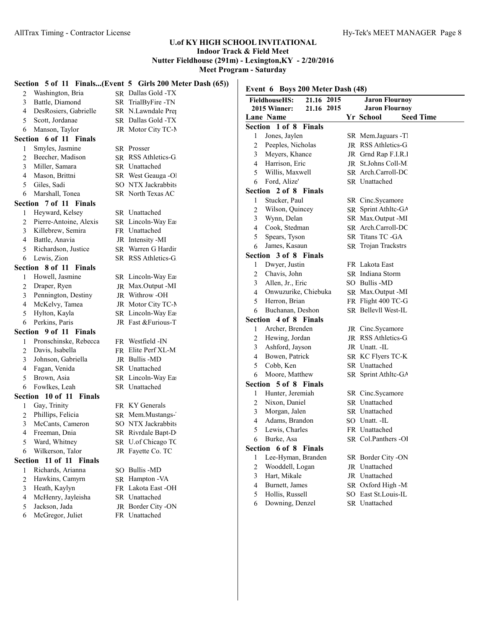# **Section 5 of 11 Finals...(Event 5 Girls 200 Meter Dash (65))**

| 2 | Washington, Bria                         | SR Dallas Gold -TX  |                     | Event 6 Boys 200 Meter Dash (48) |            |  |                       |                  |
|---|------------------------------------------|---------------------|---------------------|----------------------------------|------------|--|-----------------------|------------------|
| 3 | Battle, Diamond                          | SR TrialByFire -TN  |                     | <b>FieldhouseHS:</b>             | 21.16 2015 |  | <b>Jaron Flournoy</b> |                  |
| 4 | DesRosiers, Gabrielle                    | SR N.Lawndale Prep  |                     | 2015 Winner:                     | 21.16 2015 |  | <b>Jaron Flournoy</b> |                  |
|   | Scott, Jordanae                          | SR Dallas Gold -TX  |                     | Lane Name                        |            |  | Yr School             | <b>Seed Time</b> |
| 5 |                                          |                     |                     | Section 1 of 8 Finals            |            |  |                       |                  |
| 6 | Manson, Taylor<br>Section 6 of 11 Finals | JR Motor City TC-N  | 1                   | Jones, Jaylen                    |            |  | SR Mem.Jaguars -Tl    |                  |
|   |                                          |                     | $\overline{c}$      | Peeples, Nicholas                |            |  | JR RSS Athletics-G.   |                  |
|   | Smyles, Jasmine                          | SR Prosser          | 3                   | Meyers, Khance                   |            |  | JR Grnd Rap F.I.R.I   |                  |
| 2 | Beecher, Madison                         | SR RSS Athletics-G  | 4                   | Harrison, Eric                   |            |  | JR St.Johns Coll-M.   |                  |
| 3 | Miller, Samara                           | SR Unattached       | 5                   | Willis, Maxwell                  |            |  | SR Arch.Carroll-DC    |                  |
| 4 | Mason, Brittni                           | SR West Geauga -Ol  | 6                   | Ford, Alize'                     |            |  | SR Unattached         |                  |
| 5 | Giles, Sadi                              | SO NTX Jackrabbits  |                     | Section 2 of 8 Finals            |            |  |                       |                  |
| 6 | Marshall, Tonea                          | SR North Texas AC   | 1                   | Stucker, Paul                    |            |  | SR Cinc.Sycamore      |                  |
|   | Section 7 of 11 Finals                   |                     | $\overline{2}$      | Wilson, Quincey                  |            |  | SR Sprint Athltc-GA   |                  |
|   | Heyward, Kelsey                          | SR Unattached       | 3                   | Wynn, Delan                      |            |  | SR Max.Output -MI     |                  |
| 2 | Pierre-Antoine, Alexis                   | SR Lincoln-Way Eas  | 4                   | Cook, Stedman                    |            |  | SR Arch.Carroll-DC    |                  |
| 3 | Killebrew, Semira                        | FR Unattached       | 5                   | Spears, Tyson                    |            |  | SR Titans TC -GA      |                  |
| 4 | Battle, Anavia                           | JR Intensity -MI    | 6                   | James, Kasaun                    |            |  | SR Trojan Trackstrs   |                  |
| 5 | Richardson, Justice                      | SR Warren G Hardir  |                     | Section 3 of 8 Finals            |            |  |                       |                  |
| 6 | Lewis, Zion                              | SR RSS Athletics-G  | 1                   | Dwyer, Justin                    |            |  | FR Lakota East        |                  |
|   | Section 8 of 11 Finals                   |                     |                     | Chavis, John                     |            |  | SR Indiana Storm      |                  |
|   | Howell, Jasmine                          | SR Lincoln-Way Eas  | $\overline{c}$<br>3 | Allen, Jr., Eric                 |            |  | SO Bullis -MD         |                  |
| 2 | Draper, Ryen                             | JR Max.Output -MI   |                     | Onwuzurike, Chiebuka             |            |  |                       |                  |
| 3 | Pennington, Destiny                      | JR Withrow-OH       | 4                   | Herron, Brian                    |            |  | SR Max.Output -MI     |                  |
| 4 | McKelvy, Tamea                           | JR Motor City TC-N  | 5                   |                                  |            |  | FR Flight 400 TC-G    |                  |
| 5 | Hylton, Kayla                            | SR Lincoln-Way Eas  | 6                   | Buchanan, Deshon                 |            |  | SR Bellevll West-IL   |                  |
| 6 | Perkins, Paris                           | JR Fast & Furious-T |                     | Section 4 of 8 Finals            |            |  |                       |                  |
|   | Section 9 of 11 Finals                   |                     | 1                   | Archer, Brenden                  |            |  | JR Cinc.Sycamore      |                  |
|   | Pronschinske, Rebecca                    | FR Westfield -IN    | $\overline{c}$      | Hewing, Jordan                   |            |  | JR RSS Athletics-G.   |                  |
| 2 | Davis, Isabella                          | FR Elite Perf XL-M  | 3                   | Ashford, Jayson                  |            |  | JR Unatt. -IL         |                  |
| 3 | Johnson, Gabriella                       | JR Bullis-MD        | 4                   | Bowen, Patrick                   |            |  | SR KC Flyers TC-K     |                  |
| 4 | Fagan, Venida                            | SR Unattached       | 5                   | Cobb, Ken                        |            |  | SR Unattached         |                  |
|   | Brown, Asia                              | SR Lincoln-Way Eas  | 6                   | Moore, Matthew                   |            |  | SR Sprint Athltc-GA   |                  |
| 6 | Fowlkes, Leah                            | SR Unattached       |                     | Section 5 of 8 Finals            |            |  |                       |                  |
|   | Section 10 of 11 Finals                  |                     | 1                   | Hunter, Jeremiah                 |            |  | SR Cinc.Sycamore      |                  |
|   | Gay, Trinity                             | FR KY Generals      | $\overline{c}$      | Nixon, Daniel                    |            |  | SR Unattached         |                  |
| 2 | Phillips, Felicia                        | SR Mem.Mustangs-    | 3                   | Morgan, Jalen                    |            |  | SR Unattached         |                  |
| 3 | McCants, Cameron                         | SO NTX Jackrabbits  | 4                   | Adams, Brandon                   |            |  | SO Unatt. - IL        |                  |
| 4 | Freeman, Dnia                            | SR Rivrdale Bapt-D  | 5                   | Lewis, Charles                   |            |  | FR Unattached         |                  |
|   | Ward, Whitney                            | SR U.of Chicago TC  | 6                   | Burke, Asa                       |            |  | SR Col.Panthers -OI   |                  |
|   | 6 Wilkerson, Talor                       | JR Fayette Co. TC   |                     | Section 6 of 8 Finals            |            |  |                       |                  |
|   | Section 11 of 11 Finals                  |                     | 1                   | Lee-Hyman, Branden               |            |  | SR Border City -ON    |                  |
|   | Richards, Arianna                        | SO Bullis -MD       | 2                   | Wooddell, Logan                  |            |  | JR Unattached         |                  |
| 2 | Hawkins, Camyrn                          | SR Hampton - VA     | 3                   | Hart, Mikale                     |            |  | JR Unattached         |                  |
| 3 | Heath, Kaylyn                            | FR Lakota East -OH  | 4                   | Burnett, James                   |            |  | SR Oxford High -M     |                  |
| 4 | McHenry, Jayleisha                       | SR Unattached       | 5                   | Hollis, Russell                  |            |  | SO East St.Louis-IL   |                  |
|   | Jackson, Jada                            | JR Border City -ON  | 6                   | Downing, Denzel                  |            |  | <b>SR</b> Unattached  |                  |
| 6 | McGregor, Juliet                         | FR Unattached       |                     |                                  |            |  |                       |                  |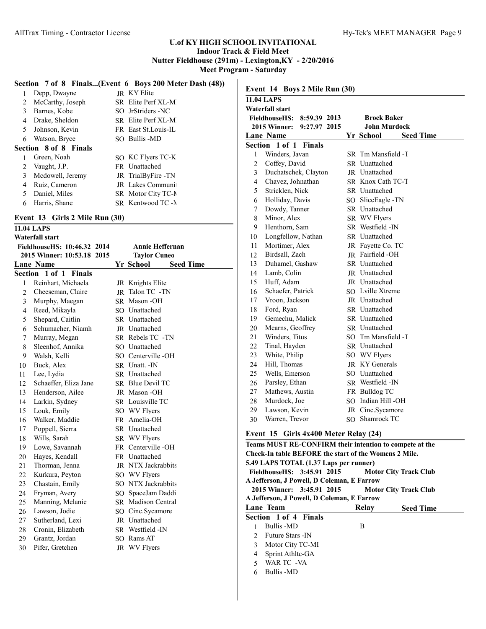# **Section 7 of 8 Finals...(Event 6 Boys 200 Meter Dash (48))**

| 1  | Depp, Dwayne                 | JR KY Elite          |
|----|------------------------------|----------------------|
| 2  | McCarthy, Joseph             | SR Elite Perf XL-M   |
| 3  | Barnes, Kobe                 | SO JrStriders -NC    |
| 4  | Drake, Sheldon               | SR Elite Perf XL-M   |
| 5  | Johnson, Kevin               | FR East St. Louis-IL |
| 6  | Watson, Bryce                | SO Bullis -MD        |
|    | <b>Section 8 of 8 Finals</b> |                      |
| 1  | Green, Noah                  | SO KC Flyers TC-K    |
| 2  | Vaught, J.P.                 | FR Unattached        |
| 3  | Mcdowell, Jeremy             | JR TrialByFire -TN   |
| 4  | Ruiz, Cameron                | JR Lakes Communi     |
| 5. | Daniel, Miles                | SR Motor City TC-N   |
| 6  | Harris, Shane                | SR Kentwood TC -N    |

## **Event 13 Girls 2 Mile Run (30)**

|                  | <b>11.04 LAPS</b>           |    |                                      |
|------------------|-----------------------------|----|--------------------------------------|
|                  | Waterfall start             |    |                                      |
|                  | FieldhouseHS: 10:46.32 2014 |    | <b>Annie Heffernan</b>               |
|                  | 2015 Winner: 10:53.18 2015  |    | <b>Taylor Cuneo</b>                  |
| <b>Lane Name</b> |                             |    | <b>Yr School</b><br><b>Seed Time</b> |
| Section          | 1 of 1 Finals               |    |                                      |
| 1                | Reinhart, Michaela          |    | JR Knights Elite                     |
| $\overline{2}$   | Cheeseman, Claire           | JR | Talon TC -TN                         |
| 3                | Murphy, Maegan              |    | SR Mason-OH                          |
| $\overline{4}$   | Reed, Mikayla               |    | SO Unattached                        |
| 5                | Shepard, Caitlin            |    | SR Unattached                        |
| 6                | Schumacher, Niamh           |    | JR Unattached                        |
| 7                | Murray, Megan               |    | SR Rebels TC -TN                     |
| 8                | Sleenhof, Annika            |    | SO Unattached                        |
| 9                | Walsh, Kelli                |    | SO Centerville-OH                    |
| 10               | Buck, Alex                  |    | SR Unatt. - IN                       |
| 11               | Lee, Lydia                  |    | SR Unattached                        |
| 12               | Schaeffer, Eliza Jane       |    | SR Blue Devil TC                     |
| 13               | Henderson, Ailee            |    | JR Mason-OH                          |
| 14               | Larkin, Sydney              |    | SR Louisville TC                     |
| 15               | Louk, Emily                 |    | SO WV Flyers                         |
| 16               | Walker, Maddie              |    | FR Amelia-OH                         |
| 17               | Poppell, Sierra             |    | SR Unattached                        |
| 18               | Wills, Sarah                |    | SR WV Flyers                         |
| 19               | Lowe, Savannah              |    | FR Centerville -OH                   |
| 20               | Hayes, Kendall              |    | FR Unattached                        |
| 21               | Thorman, Jenna              |    | JR NTX Jackrabbits                   |
| 22               | Kurkura, Peyton             |    | SO WV Flyers                         |
| 23               | Chastain, Emily             |    | SO NTX Jackrabbits                   |
| 24               | Fryman, Avery               |    | SO SpaceJam Daddi                    |
| 25               | Manning, Melanie            |    | <b>SR</b> Madison Central            |
| 26               | Lawson, Jodie               |    | SO Cinc.Sycamore                     |
| 27               | Sutherland, Lexi            |    | JR Unattached                        |
| 28               | Cronin, Elizabeth           |    | SR Westfield -IN                     |
| 29               | Grantz, Jordan              |    | SO Rams AT                           |
| 30               | Pifer, Gretchen             |    | JR WV Flyers                         |
|                  |                             |    |                                      |

|                | <b>11.04 LAPS</b>                                       |                                    |
|----------------|---------------------------------------------------------|------------------------------------|
|                | Waterfall start<br><b>FieldhouseHS:</b><br>8:59.39 2013 | <b>Brock Baker</b>                 |
|                | 2015 Winner:<br>9:27.97 2015                            | <b>John Murdock</b>                |
|                | Lane Name                                               | Yr School<br><b>Seed Time</b>      |
|                | Section 1 of 1 Finals                                   |                                    |
| 1              | Winders, Javan                                          | SR Tm Mansfield -T                 |
| $\overline{2}$ | Coffey, David                                           | <b>SR</b> Unattached               |
| 3              | Duchatschek, Clayton                                    | JR Unattached                      |
| 4              | Chavez, Johnathan                                       | SR Knox Cath TC-T                  |
| 5              | Stricklen, Nick                                         | <b>SR</b> Unattached               |
| 6              | Holliday, Davis                                         | SO SliccEagle -TN                  |
| $\overline{7}$ | Dowdy, Tanner                                           | SR Unattached                      |
| 8              | Minor, Alex                                             | SR WV Flyers                       |
| 9              | Henthorn, Sam                                           | SR Westfield -IN                   |
| 10             | Longfellow, Nathan                                      | <b>SR</b> Unattached               |
| 11             | Mortimer, Alex                                          | JR Fayette Co. TC                  |
| 12             | Birdsall, Zach                                          | <b>IR</b> Fairfield -OH            |
| 13             | Duhamel, Gashaw                                         | <b>SR</b> Unattached               |
| 14             | Lamb, Colin                                             | <b>IR</b> Unattached               |
| 15             | Huff, Adam                                              | JR Unattached                      |
| 16             | Schaefer, Patrick                                       | SO Lville Xtreme                   |
| 17             | Vroon, Jackson                                          | JR Unattached                      |
| 18             | Ford, Ryan                                              | <b>SR</b> Unattached               |
| 19             | Gemechu, Malick                                         | <b>SR</b> Unattached               |
| 20             | Mearns, Geoffrey                                        | <b>SR</b> Unattached               |
| 21             | Winders, Titus                                          | SO Tm Mansfield -T                 |
| 22             | Tinal, Hayden                                           | <b>SR</b> Unattached               |
| 23             | White, Philip                                           | SO WV Flyers                       |
| 24             | Hill, Thomas                                            | JR KY Generals                     |
| 25             | Wells, Emerson                                          | SO Unattached                      |
| 26             | Parsley, Ethan                                          | SR Westfield -IN                   |
| 27             | Mathews, Austin                                         | FR Bulldog TC                      |
| 28             | Murdock, Joe                                            | SO Indian Hill -OH                 |
| 29             | Lawson, Kevin                                           | JR Cinc.Sycamore<br>SO Shamrock TC |
| 30             | Warren, Trevor                                          |                                    |

|                                                           | Teams MUST RE-CONFIRM their intention to compete at the |       |                  |  |  |  |
|-----------------------------------------------------------|---------------------------------------------------------|-------|------------------|--|--|--|
|                                                           | Check-In table BEFORE the start of the Womens 2 Mile.   |       |                  |  |  |  |
|                                                           | 5.49 LAPS TOTAL (1.37 Laps per runner)                  |       |                  |  |  |  |
| FieldhouseHS: 3:45.91 2015 Motor City Track Club          |                                                         |       |                  |  |  |  |
|                                                           | A Jefferson, J Powell, D Coleman, E Farrow              |       |                  |  |  |  |
| 2015 Winner: 3:45.91 2015<br><b>Motor City Track Club</b> |                                                         |       |                  |  |  |  |
| A Jefferson, J Powell, D Coleman, E Farrow                |                                                         |       |                  |  |  |  |
|                                                           | Lane Team                                               | Relay | <b>Seed Time</b> |  |  |  |
|                                                           | Section 1 of 4 Finals                                   |       |                  |  |  |  |
|                                                           | Bullis -MD                                              | B     |                  |  |  |  |
|                                                           | 2 Future Stars - IN                                     |       |                  |  |  |  |
| 3                                                         | Motor City TC-MI                                        |       |                  |  |  |  |
| 4                                                         | Sprint Athltc-GA                                        |       |                  |  |  |  |
| $\sim$                                                    | WAR TC -VA                                              |       |                  |  |  |  |
| 6                                                         | <b>Bullis -MD</b>                                       |       |                  |  |  |  |
|                                                           |                                                         |       |                  |  |  |  |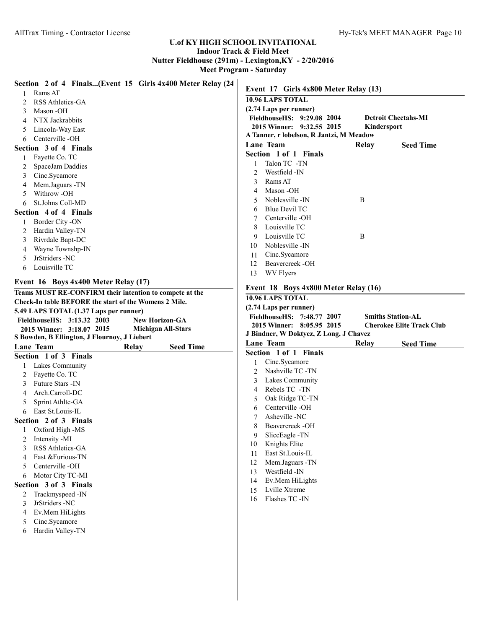# **U.of KY HIGH SCHOOL INVITATIONAL**

# **Indoor Track & Field Meet Nutter Fieldhouse (291m) - Lexington,KY - 2/20/2016**

**Meet Program - Saturday**

| Section 2 of 4 Finals(Event 15 Girls 4x400 Meter Relay (24                                    | Event 17 Girls 4x800 Meter Relay (13)                                 |             |                                  |
|-----------------------------------------------------------------------------------------------|-----------------------------------------------------------------------|-------------|----------------------------------|
| Rams AT                                                                                       |                                                                       |             |                                  |
| RSS Athletics-GA<br>2                                                                         | 10.96 LAPS TOTAL                                                      |             |                                  |
| Mason -OH<br>3                                                                                | (2.74 Laps per runner)                                                |             |                                  |
| NTX Jackrabbits<br>4                                                                          | FieldhouseHS: 9:29.08 2004                                            |             | <b>Detroit Cheetahs-MI</b>       |
| Lincoln-Way East<br>5                                                                         | 2015 Winner: 9:32.55 2015<br>A Tanner, r lobelson, R Jantzi, M Meadow | Kindersport |                                  |
| Centerville -OH<br>6                                                                          | Lane Team                                                             | Relay       |                                  |
| Section 3 of 4 Finals                                                                         | Section 1 of 1 Finals                                                 |             | <b>Seed Time</b>                 |
| Fayette Co. TC                                                                                | Talon TC -TN                                                          |             |                                  |
| SpaceJam Daddies<br>2                                                                         | 1<br>Westfield -IN                                                    |             |                                  |
| Cinc.Sycamore<br>3                                                                            | 2<br>Rams AT                                                          |             |                                  |
| Mem.Jaguars -TN<br>4                                                                          | 3                                                                     |             |                                  |
| Withrow -OH<br>5                                                                              | Mason -OH<br>4<br>Noblesville -IN                                     |             |                                  |
| St.Johns Coll-MD<br>6                                                                         | 5<br><b>Blue Devil TC</b>                                             | B           |                                  |
| Section 4 of 4 Finals                                                                         | 6<br>Centerville -OH                                                  |             |                                  |
| Border City -ON<br>1                                                                          | Louisville TC                                                         |             |                                  |
| Hardin Valley-TN<br>2                                                                         | 8<br>Louisville TC                                                    | B           |                                  |
| Rivrdale Bapt-DC<br>3                                                                         | 9                                                                     |             |                                  |
| Wayne Townshp-IN<br>4                                                                         | Noblesville -IN<br>10                                                 |             |                                  |
| JrStriders -NC<br>5                                                                           | Cinc.Sycamore<br>11<br>Beavercreek -OH                                |             |                                  |
| Louisville TC<br>6                                                                            | 12<br>WV Flyers                                                       |             |                                  |
|                                                                                               | 13                                                                    |             |                                  |
| Event 16 Boys 4x400 Meter Relay (17)                                                          | Event 18 Boys 4x800 Meter Relay (16)                                  |             |                                  |
| Teams MUST RE-CONFIRM their intention to compete at the                                       | 10.96 LAPS TOTAL                                                      |             |                                  |
| Check-In table BEFORE the start of the Womens 2 Mile.                                         | (2.74 Laps per runner)                                                |             |                                  |
| 5.49 LAPS TOTAL (1.37 Laps per runner)<br>FieldhouseHS: 3:13.32 2003<br><b>New Horizon-GA</b> | FieldhouseHS: 7:48.77 2007                                            |             | <b>Smiths Station-AL</b>         |
|                                                                                               |                                                                       |             |                                  |
|                                                                                               | 2015 Winner: 8:05.95 2015                                             |             | <b>Cherokee Elite Track Club</b> |
| 2015 Winner: 3:18.07 2015<br><b>Michigan All-Stars</b>                                        |                                                                       |             |                                  |
| S Bowden, B Ellington, J Flournoy, J Liebert                                                  | J Bindner, W Doktycz, Z Long, J Chavez<br>Lane Team                   | Relay       |                                  |
| <b>Seed Time</b><br>Lane Team<br>Relay                                                        | Section 1 of 1 Finals                                                 |             | <b>Seed Time</b>                 |
| Section 1 of 3 Finals                                                                         | Cinc.Sycamore                                                         |             |                                  |
| Lakes Community                                                                               | Nashville TC -TN<br>2                                                 |             |                                  |
| Fayette Co. TC<br>2                                                                           | Lakes Community<br>3                                                  |             |                                  |
| Future Stars - IN<br>3                                                                        | Rebels TC -TN<br>4                                                    |             |                                  |
| Arch.Carroll-DC<br>4                                                                          | Oak Ridge TC-TN<br>5                                                  |             |                                  |
| Sprint Athltc-GA<br>5                                                                         | Centerville -OH<br>6                                                  |             |                                  |
| East St.Louis-IL<br>6                                                                         | Asheville-NC<br>7                                                     |             |                                  |
| Section 2 of 3 Finals                                                                         | Beavercreek -OH<br>8                                                  |             |                                  |
| Oxford High -MS<br>1                                                                          | SliccEagle -TN                                                        |             |                                  |
| Intensity -MI<br>2                                                                            | Knights Elite<br>10                                                   |             |                                  |
| RSS Athletics-GA<br>3                                                                         | East St.Louis-IL<br>11                                                |             |                                  |
| Fast &Furious-TN<br>4                                                                         | Mem.Jaguars -TN<br>12                                                 |             |                                  |
| Centerville-OH<br>5                                                                           | Westfield -IN<br>13                                                   |             |                                  |
| Motor City TC-MI<br>6                                                                         | Ev.Mem HiLights<br>14                                                 |             |                                  |
| Section 3 of 3 Finals                                                                         | Lville Xtreme<br>15                                                   |             |                                  |
| Trackmyspeed -IN<br>2                                                                         | Flashes TC -IN<br>16                                                  |             |                                  |
| JrStriders -NC<br>3                                                                           |                                                                       |             |                                  |
| Ev.Mem HiLights<br>4                                                                          |                                                                       |             |                                  |
| Cinc.Sycamore<br>5                                                                            |                                                                       |             |                                  |
| Hardin Valley-TN<br>6                                                                         |                                                                       |             |                                  |
|                                                                                               |                                                                       |             |                                  |
|                                                                                               |                                                                       |             |                                  |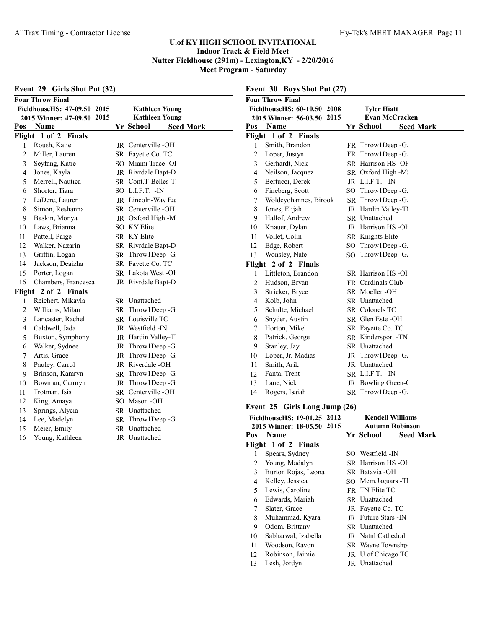| Girls Shot Put (32)<br>Event 29 |                             |  |                               |  |  |
|---------------------------------|-----------------------------|--|-------------------------------|--|--|
| <b>Four Throw Final</b>         |                             |  |                               |  |  |
|                                 | FieldhouseHS: 47-09.50 2015 |  | <b>Kathleen Young</b>         |  |  |
|                                 | 2015 Winner: 47-09.50 2015  |  | <b>Kathleen Young</b>         |  |  |
| Pos                             | <b>Name</b>                 |  | Yr School<br><b>Seed Mark</b> |  |  |
| Flight                          | 1 of 2 Finals               |  |                               |  |  |
| 1                               | Roush, Katie                |  | JR Centerville-OH             |  |  |
| $\overline{c}$                  | Miller, Lauren              |  | SR Fayette Co. TC             |  |  |
| 3                               | Seyfang, Katie              |  | SO Miami Trace -OI            |  |  |
| 4                               | Jones, Kayla                |  | JR Rivrdale Bapt-D            |  |  |
| 5                               | Merrell, Nautica            |  | SR Cont.T-Belles-T            |  |  |
| 6                               | Shorter, Tiara              |  | SO L.I.F.T. -IN               |  |  |
| 7                               | LaDere, Lauren              |  | JR Lincoln-Way East           |  |  |
| 8                               | Simon, Reshanna             |  | SR Centerville-OH             |  |  |
| 9                               | Baskin, Monya               |  | JR Oxford High -M             |  |  |
| 10                              | Laws, Brianna               |  | SO KY Elite                   |  |  |
| 11                              | Pattell, Paige              |  | <b>SR KY Elite</b>            |  |  |
| 12                              | Walker, Nazarin             |  | SR Rivrdale Bapt-D            |  |  |
| 13                              | Griffin, Logan              |  | SR Throw1Deep -G.             |  |  |
| 14                              | Jackson, Deaizha            |  | SR Fayette Co. TC             |  |  |
| 15                              | Porter, Logan               |  | SR Lakota West -OF            |  |  |
| 16                              | Chambers, Francesca         |  | JR Rivrdale Bapt-D            |  |  |
|                                 | Flight 2 of 2 Finals        |  |                               |  |  |
| $\mathbf{1}$                    | Reichert, Mikayla           |  | SR Unattached                 |  |  |
| $\overline{2}$                  | Williams, Milan             |  | SR Throw1Deep -G.             |  |  |
| 3                               | Lancaster, Rachel           |  | SR Louisville TC              |  |  |
| 4                               | Caldwell, Jada              |  | JR Westfield - IN             |  |  |
| 5                               | Buxton, Symphony            |  | JR Hardin Valley-Tl           |  |  |
| 6                               | Walker, Sydnee              |  | JR Throw1Deep -G.             |  |  |
| 7                               | Artis, Grace                |  | JR Throw1Deep -G.             |  |  |
| 8                               | Pauley, Carrol              |  | JR Riverdale -OH              |  |  |
| 9                               | Brinson, Kamryn             |  | SR Throw1Deep -G.             |  |  |
| 10                              | Bowman, Camryn              |  | JR Throw1Deep -G.             |  |  |
| 11                              | Trotman, Isis               |  | SR Centerville-OH             |  |  |
| 12                              | King, Amaya                 |  | SO Mason -OH                  |  |  |
| 13                              | Springs, Alycia             |  | SR Unattached                 |  |  |
| 14                              | Lee, Madelyn                |  | SR Throw1Deep -G.             |  |  |
| 15                              | Meier, Emily                |  | SR Unattached                 |  |  |
| 16                              | Young, Kathleen             |  | JR Unattached                 |  |  |
|                                 |                             |  |                               |  |  |

|                                                           | <b>Four Throw Final</b> |                                             |                     |  |  |
|-----------------------------------------------------------|-------------------------|---------------------------------------------|---------------------|--|--|
| FieldhouseHS: 60-10.50 2008<br>2015 Winner: 56-03.50 2015 |                         | <b>Tyler Hiatt</b><br><b>Evan McCracken</b> |                     |  |  |
|                                                           |                         |                                             |                     |  |  |
|                                                           | Flight 1 of 2 Finals    |                                             |                     |  |  |
|                                                           | Smith, Brandon          |                                             | FR Throw 1Deep - G. |  |  |
|                                                           | 2 Loper, Justyn         |                                             | FR Throw1Deep -G.   |  |  |
| 3                                                         | Gerhardt, Nick          |                                             | SR Harrison HS-OI   |  |  |

4 Neilson, Jacquez SR Oxford High -M Bertucci, Derek JR L.I.F.T. -IN 6 Fineberg, Scott SO Throw1Deep -G.<br>7 Woldeyohannes, Birook SR Throw1Deep -G.

JR Hardin Valley-TI

**Event 30 Boys Shot Put (27)**

7 Woldeyohannes, Birook<br>8 Jones, Elijah

| 9  | Hallof, Andrew       | <b>SR</b> Unattached     |
|----|----------------------|--------------------------|
| 10 | Knauer, Dylan        | JR Harrison HS-OI        |
| 11 | Vollet, Colin        | SR Knights Elite         |
| 12 | Edge, Robert         | SO Throw1Deep -G.        |
| 13 | Wonsley, Nate        | SO Throw1Deep -G.        |
|    | Flight 2 of 2 Finals |                          |
| 1  | Littleton, Brandon   | SR Harrison HS-OI        |
| 2  | Hudson, Bryan        | <b>FR</b> Cardinals Club |
| 3  | Stricker, Bryce      | SR Moeller -OH           |
| 4  | Kolb, John           | <b>SR</b> Unattached     |
| 5  | Schulte, Michael     | SR Colonels TC           |
| 6  | Snyder, Austin       | SR Glen Este -OH         |
| 7  | Horton, Mikel        | SR Fayette Co. TC        |
| 8  | Patrick, George      | SR Kindersport -TN       |
| 9  | Stanley, Jay         | <b>SR</b> Unattached     |
| 10 | Loper, Jr, Madias    | JR Throw1Deep -G.        |
| 11 | Smith, Arik          | JR Unattached            |
| 12 | Fanta, Trent         | SR L.I.F.T. -IN          |
| 13 | Lane, Nick           | JR Bowling Green-C       |
| 14 | Rogers, Isaiah       | SR Throw1Deep -G.        |

# **Event 25 Girls Long Jump (26)**

| FieldhouseHS: 19-01.25 2012<br><b>Kendell Williams</b> |                            |  |                               |  |  |  |
|--------------------------------------------------------|----------------------------|--|-------------------------------|--|--|--|
|                                                        | 2015 Winner: 18-05.50 2015 |  | <b>Autumn Robinson</b>        |  |  |  |
| <b>Name</b><br>Pos                                     |                            |  | <b>Seed Mark</b><br>Yr School |  |  |  |
| Flight 1 of 2 Finals                                   |                            |  |                               |  |  |  |
| Spears, Sydney<br>1                                    |                            |  | SO Westfield - IN             |  |  |  |
| Young, Madalyn<br>2                                    |                            |  | SR Harrison HS-OI             |  |  |  |
| 3                                                      | Burton Rojas, Leona        |  | SR Batavia -OH                |  |  |  |
| Kelley, Jessica<br>4                                   |                            |  | SO Mem.Jaguars -TI            |  |  |  |
| Lewis, Caroline<br>5                                   |                            |  | FR TN Elite TC                |  |  |  |
| Edwards, Mariah<br>6                                   |                            |  | <b>SR</b> Unattached          |  |  |  |
| 7<br>Slater, Grace                                     |                            |  | JR Fayette Co. TC             |  |  |  |
| 8                                                      | Muhammad, Kyara            |  | <b>IR</b> Future Stars - IN   |  |  |  |
| 9<br>Odom, Brittany                                    |                            |  | <b>SR</b> Unattached          |  |  |  |
| 10                                                     | Sabharwal, Izabella        |  | <b>JR</b> Natnl Cathedral     |  |  |  |
| Woodson, Ravon<br>11                                   |                            |  | SR Wayne Townshp              |  |  |  |
| Robinson, Jaimie<br>12                                 |                            |  | JR U. of Chicago TC           |  |  |  |
| 13<br>Lesh, Jordyn                                     |                            |  | JR Unattached                 |  |  |  |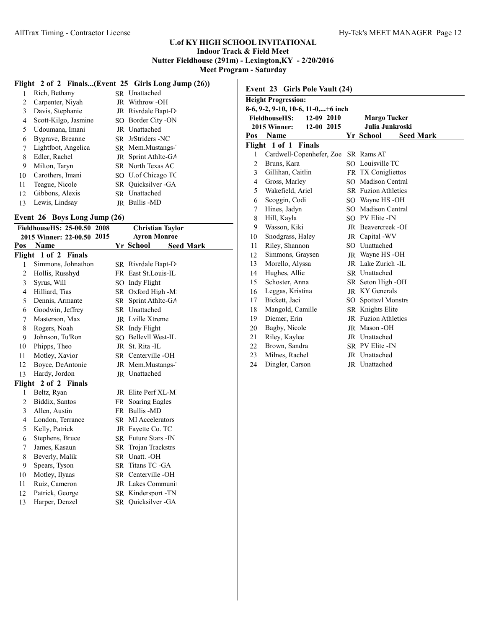# **Flight 2 of 2 Finals...(Event 25 Girls Long Jump (26))**

|    | Rich, Bethany        | SR Unattached        |
|----|----------------------|----------------------|
| 2  | Carpenter, Niyah     | JR Withrow -OH       |
| 3  | Davis, Stephanie     | JR Rivrdale Bapt-D   |
| 4  | Scott-Kilgo, Jasmine | SO Border City -ON   |
| 5  | Udoumana, Imani      | JR Unattached        |
| 6  | Bygrave, Breanne     | SR JrStriders -NC    |
| 7  | Lightfoot, Angelica  | SR Mem.Mustangs-     |
| 8  | Edler, Rachel        | JR Sprint Athltc-GA  |
| 9  | Milton, Taryn        | SR North Texas AC    |
| 10 | Carothers, Imani     | SO U.of Chicago TC   |
| 11 | Teague, Nicole       | SR Ouicksilver - GA  |
| 12 | Gibbons, Alexis      | SR Unattached        |
| 13 | Lewis, Lindsay       | <b>IR</b> Bullis -MD |
|    |                      |                      |

## **Event 26 Boys Long Jump (26)**

|                            | FieldhouseHS: 25-00.50 2008<br><b>Christian Taylor</b> |  |                               |  |  |
|----------------------------|--------------------------------------------------------|--|-------------------------------|--|--|
| 2015 Winner: 22-00.50 2015 |                                                        |  | <b>Ayron Monroe</b>           |  |  |
| Pos                        | Name                                                   |  | Yr School<br><b>Seed Mark</b> |  |  |
|                            | Flight 1 of 2 Finals                                   |  |                               |  |  |
| 1                          | Simmons, Johnathon                                     |  | SR Rivrdale Bapt-D            |  |  |
| $\overline{2}$             | Hollis, Russhyd                                        |  | FR East St. Louis-IL          |  |  |
| 3                          | Syrus, Will                                            |  | SO Indy Flight                |  |  |
| 4                          | Hilliard, Tias                                         |  | SR Oxford High -M             |  |  |
| 5                          | Dennis, Armante                                        |  | SR Sprint Athltc-GA           |  |  |
| 6                          | Goodwin, Jeffrey                                       |  | SR Unattached                 |  |  |
| 7                          | Masterson, Max                                         |  | JR Lville Xtreme              |  |  |
| 8                          | Rogers, Noah                                           |  | SR Indy Flight                |  |  |
| 9                          | Johnson, Tu'Ron                                        |  | SO Bellevll West-IL           |  |  |
| 10                         | Phipps, Theo                                           |  | JR St. Rita -IL               |  |  |
| 11                         | Motley, Xavior                                         |  | SR Centerville-OH             |  |  |
| 12                         | Boyce, DeAntonie                                       |  | JR Mem.Mustangs-              |  |  |
| 13                         | Hardy, Jordon                                          |  | JR Unattached                 |  |  |
|                            | Flight 2 of 2 Finals                                   |  |                               |  |  |
| 1                          | Beltz, Ryan                                            |  | JR Elite Perf XL-M            |  |  |
| $\overline{2}$             | Biddix, Santos                                         |  | FR Soaring Eagles             |  |  |
| 3                          | Allen, Austin                                          |  | FR Bullis -MD                 |  |  |
| 4                          | London, Terrance                                       |  | <b>SR</b> MI Accelerators     |  |  |
| 5                          | Kelly, Patrick                                         |  | JR Fayette Co. TC             |  |  |
| 6                          | Stephens, Bruce                                        |  | SR Future Stars - IN          |  |  |
| 7                          | James, Kasaun                                          |  | <b>SR</b> Troian Trackstrs    |  |  |
| 8                          | Beverly, Malik                                         |  | SR Unatt. - OH                |  |  |
| 9                          | Spears, Tyson                                          |  | SR Titans TC -GA              |  |  |
| 10                         | Motley, Ilyaas                                         |  | SR Centerville-OH             |  |  |
| 11                         | Ruiz, Cameron                                          |  | JR Lakes Communi              |  |  |
| 12                         | Patrick, George                                        |  | SR Kindersport-TN             |  |  |
| 13                         | Harper, Denzel                                         |  | SR Quicksilver - GA           |  |  |

|                                                                          | Event 23 Girls Pole Vault (24)    |  |                                        |  |  |  |  |
|--------------------------------------------------------------------------|-----------------------------------|--|----------------------------------------|--|--|--|--|
|                                                                          | <b>Height Progression:</b>        |  |                                        |  |  |  |  |
| 8-6, 9-2, 9-10, 10-6, 11-0,+6 inch<br>12-09 2010<br><b>FieldhouseHS:</b> |                                   |  |                                        |  |  |  |  |
|                                                                          | 12-00 2015<br><b>2015 Winner:</b> |  | <b>Margo Tucker</b><br>Julia Junkroski |  |  |  |  |
| Pos                                                                      | Name                              |  | Yr School<br><b>Seed Mark</b>          |  |  |  |  |
|                                                                          | Flight 1 of 1 Finals              |  |                                        |  |  |  |  |
| 1                                                                        | Cardwell-Copenhefer, Zoe          |  | SR Rams AT                             |  |  |  |  |
| $\overline{2}$                                                           | Bruns, Kara                       |  | SO Louisville TC                       |  |  |  |  |
| 3                                                                        | Gillihan, Caitlin                 |  | FR TX Conigliettos                     |  |  |  |  |
| $\overline{4}$                                                           | Gross, Marley                     |  | SO Madison Central                     |  |  |  |  |
| 5                                                                        | Wakefield, Ariel                  |  | <b>SR</b> Fuzion Athletics             |  |  |  |  |
| 6                                                                        | Scoggin, Codi                     |  | SO Wayne HS -OH                        |  |  |  |  |
| 7                                                                        | Hines, Jadyn                      |  | SO Madison Central                     |  |  |  |  |
| 8                                                                        | Hill, Kayla                       |  | SO PV Elite - IN                       |  |  |  |  |
| 9                                                                        | Wasson, Kiki                      |  | JR Beavercreek-OF                      |  |  |  |  |
| 10                                                                       | Snodgrass, Haley                  |  | JR Capital -WV                         |  |  |  |  |
| 11                                                                       | Riley, Shannon                    |  | SO Unattached                          |  |  |  |  |
| 12                                                                       | Simmons, Graysen                  |  | JR Wayne HS-OH                         |  |  |  |  |
| 13                                                                       | Morello, Alyssa                   |  | JR Lake Zurich -IL                     |  |  |  |  |
| 14                                                                       | Hughes, Allie                     |  | <b>SR</b> Unattached                   |  |  |  |  |
| 15                                                                       | Schoster, Anna                    |  | SR Seton High -OH                      |  |  |  |  |
| 16                                                                       | Leggas, Kristina                  |  | <b>IR KY Generals</b>                  |  |  |  |  |
| 17                                                                       | Bickett, Jaci                     |  | <b>SO</b> Spottsyl Monstrs             |  |  |  |  |
| 18                                                                       | Mangold, Camille                  |  | <b>SR</b> Knights Elite                |  |  |  |  |
| 19                                                                       | Diemer, Erin                      |  | <b>JR</b> Fuzion Athletics             |  |  |  |  |
| 20                                                                       | Bagby, Nicole                     |  | <b>JR</b> Mason -OH                    |  |  |  |  |
| 21                                                                       | Riley, Kaylee                     |  | JR Unattached                          |  |  |  |  |
| 22                                                                       | Brown, Sandra                     |  | SR PV Elite - IN                       |  |  |  |  |
| 23                                                                       | Milnes, Rachel                    |  | JR Unattached                          |  |  |  |  |
| 24                                                                       | Dingler, Carson                   |  | <b>IR</b> Unattached                   |  |  |  |  |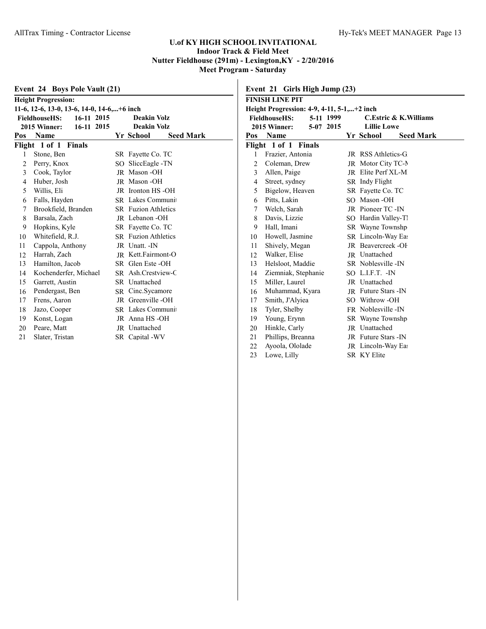|                                                   | Event 24 Boys Pole Vault (21)<br><b>Height Progression:</b> |  |                                      |  |  |  |  |
|---------------------------------------------------|-------------------------------------------------------------|--|--------------------------------------|--|--|--|--|
| 11-6, 12-6, 13-0, 13-6, 14-0, 14-6,+6 inch        |                                                             |  |                                      |  |  |  |  |
| 16-11 2015<br><b>FieldhouseHS:</b><br>Deakin Volz |                                                             |  |                                      |  |  |  |  |
|                                                   | 16-11 2015<br><b>2015 Winner:</b>                           |  | <b>Deakin Volz</b>                   |  |  |  |  |
| Pos                                               | <b>Name</b>                                                 |  | <b>Yr School</b><br><b>Seed Mark</b> |  |  |  |  |
|                                                   | Flight 1 of 1 Finals                                        |  |                                      |  |  |  |  |
| 1                                                 | Stone, Ben                                                  |  | SR Fayette Co. TC                    |  |  |  |  |
| $\overline{2}$                                    | Perry, Knox                                                 |  | SO SliceEagle -TN                    |  |  |  |  |
| 3                                                 | Cook, Taylor                                                |  | JR Mason-OH                          |  |  |  |  |
| $\overline{4}$                                    | Huber, Josh                                                 |  | JR Mason-OH                          |  |  |  |  |
| 5                                                 | Willis, Eli                                                 |  | JR Ironton HS-OH                     |  |  |  |  |
| 6                                                 | Falls, Hayden                                               |  | SR Lakes Communi                     |  |  |  |  |
| 7                                                 | Brookfield, Branden                                         |  | <b>SR</b> Fuzion Athletics           |  |  |  |  |
| 8                                                 | Barsala, Zach                                               |  | <b>IR</b> Lebanon -OH                |  |  |  |  |
| 9                                                 | Hopkins, Kyle                                               |  | SR Fayette Co. TC                    |  |  |  |  |
| 10                                                | Whitefield, R.J.                                            |  | <b>SR</b> Fuzion Athletics           |  |  |  |  |
| 11                                                | Cappola, Anthony                                            |  | JR Unatt. - IN                       |  |  |  |  |
| 12                                                | Harrah, Zach                                                |  | <b>IR</b> Kett.Fairmont-O            |  |  |  |  |
| 13                                                | Hamilton, Jacob                                             |  | SR Glen Este -OH                     |  |  |  |  |
| 14                                                | Kochenderfer, Michael                                       |  | SR Ash.Crestview-C                   |  |  |  |  |
| 15                                                | Garrett, Austin                                             |  | SR Unattached                        |  |  |  |  |
| 16                                                | Pendergast, Ben                                             |  | SR Cinc.Sycamore                     |  |  |  |  |
| 17                                                | Frens, Aaron                                                |  | JR Greenville -OH                    |  |  |  |  |
| 18                                                | Jazo, Cooper                                                |  | SR Lakes Communi                     |  |  |  |  |
| 19                                                | Konst, Logan                                                |  | JR Anna HS-OH                        |  |  |  |  |
| 20                                                | Peare, Matt                                                 |  | JR Unattached                        |  |  |  |  |
| 21                                                | Slater, Tristan                                             |  | SR Capital -WV                       |  |  |  |  |
|                                                   |                                                             |  |                                      |  |  |  |  |

|                                                            | Event 21 Girls High Jump (23)       |                                       |           |     |                             |                  |  |
|------------------------------------------------------------|-------------------------------------|---------------------------------------|-----------|-----|-----------------------------|------------------|--|
|                                                            | FINISH LINE PIT                     |                                       |           |     |                             |                  |  |
| Height Progression: 4-9, 4-11, 5-1,+2 inch                 |                                     |                                       |           |     |                             |                  |  |
| <b>FieldhouseHS:</b><br>5-11 1999<br>C.Estric & K.Williams |                                     |                                       |           |     |                             |                  |  |
|                                                            | 2015 Winner:                        |                                       | 5-07 2015 |     | <b>Lillie Lowe</b>          |                  |  |
| Pos                                                        | Name                                |                                       |           |     | Yr School                   | <b>Seed Mark</b> |  |
|                                                            | Flight 1 of 1                       | Finals                                |           |     |                             |                  |  |
| 1                                                          | Frazier, Antonia                    |                                       |           |     | JR RSS Athletics-G          |                  |  |
| 2                                                          | Coleman, Drew                       |                                       |           |     | JR Motor City TC-N          |                  |  |
| $\overline{3}$                                             | Allen, Paige                        |                                       |           |     | JR Elite Perf XL-M          |                  |  |
| $\overline{4}$                                             | Street, sydney                      |                                       |           |     | SR Indy Flight              |                  |  |
| 5                                                          | Bigelow, Heaven                     |                                       |           |     | SR Fayette Co. TC           |                  |  |
| 6                                                          | Pitts, Lakin                        |                                       |           | SO. | Mason -OH                   |                  |  |
| 7                                                          | Welch, Sarah                        |                                       |           |     | JR Pioneer TC -IN           |                  |  |
| 8                                                          | Davis, Lizzie                       |                                       |           |     | SO Hardin Valley-Tl         |                  |  |
| 9                                                          | Hall, Imani                         |                                       |           |     | SR Wayne Townshp            |                  |  |
| 10                                                         |                                     | Howell, Jasmine<br>SR Lincoln-Way Eas |           |     |                             |                  |  |
| 11                                                         | JR Beavercreek-OF<br>Shively, Megan |                                       |           |     |                             |                  |  |
| 12                                                         | Walker, Elise                       | <b>JR</b> Unattached                  |           |     |                             |                  |  |
| 13                                                         | Helsloot, Maddie                    |                                       |           |     | SR Noblesville -IN          |                  |  |
| 14                                                         | Ziemniak, Stephanie                 |                                       |           |     | SO L.I.F.T. - IN            |                  |  |
| 15                                                         | Miller, Laurel                      |                                       |           |     | JR Unattached               |                  |  |
| 16                                                         | Muhammad, Kyara                     |                                       |           |     | <b>JR</b> Future Stars - IN |                  |  |
| 17                                                         | Smith, J'Alyiea                     |                                       |           |     | SO Withrow -OH              |                  |  |
| 18                                                         | Tyler, Shelby                       |                                       |           |     | <b>FR</b> Noblesville -IN   |                  |  |
| 19                                                         | Young, Erynn                        |                                       |           |     | SR Wayne Townshp            |                  |  |
| 20                                                         | Hinkle, Carly                       |                                       |           |     | JR Unattached               |                  |  |
| 21                                                         | Phillips, Breanna                   |                                       |           |     | JR Future Stars - IN        |                  |  |
| 22                                                         | Ayoola, Ololade                     |                                       |           |     | JR Lincoln-Way Eas          |                  |  |
| 23                                                         | Lowe, Lilly                         |                                       |           |     | <b>SR KY Elite</b>          |                  |  |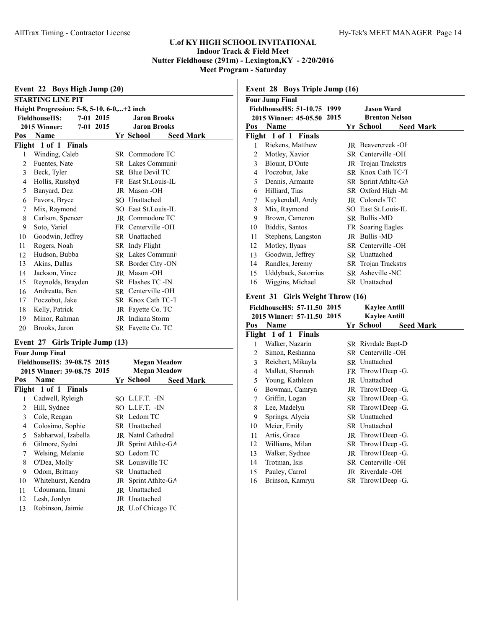| Event 22 Boys High Jump (20)                             |                          |  |  |                               |  |  |  |
|----------------------------------------------------------|--------------------------|--|--|-------------------------------|--|--|--|
|                                                          | <b>STARTING LINE PIT</b> |  |  |                               |  |  |  |
| Height Progression: 5-8, 5-10, 6-0,+2 inch               |                          |  |  |                               |  |  |  |
| 7-01 2015<br><b>FieldhouseHS:</b><br><b>Jaron Brooks</b> |                          |  |  |                               |  |  |  |
| 7-01 2015<br><b>Jaron Brooks</b><br><b>2015 Winner:</b>  |                          |  |  |                               |  |  |  |
| Pos                                                      | <b>Name</b>              |  |  | Yr School<br><b>Seed Mark</b> |  |  |  |
|                                                          | Flight 1 of 1 Finals     |  |  |                               |  |  |  |
| 1                                                        | Winding, Caleb           |  |  | SR Commodore TC               |  |  |  |
| 2                                                        | Fuentes, Nate            |  |  | SR Lakes Communi              |  |  |  |
| 3                                                        | Beck, Tyler              |  |  | SR Blue Devil TC              |  |  |  |
| 4                                                        | Hollis, Russhyd          |  |  | FR East St. Louis-IL          |  |  |  |
| 5                                                        | Banyard, Dez             |  |  | JR Mason-OH                   |  |  |  |
| 6                                                        | Favors, Bryce            |  |  | SO Unattached                 |  |  |  |
| 7                                                        | Mix, Raymond             |  |  | SO East St. Louis-IL          |  |  |  |
| 8                                                        | Carlson, Spencer         |  |  | <b>IR</b> Commodore TC        |  |  |  |
| 9                                                        | Soto, Yariel             |  |  | FR Centerville -OH            |  |  |  |
| 10                                                       | Goodwin, Jeffrey         |  |  | <b>SR</b> Unattached          |  |  |  |
| 11                                                       | Rogers, Noah             |  |  | SR Indy Flight                |  |  |  |
| 12                                                       | Hudson, Bubba            |  |  | SR Lakes Communi              |  |  |  |
| 13                                                       | Akins, Dallas            |  |  | SR Border City -ON            |  |  |  |
| 14                                                       | Jackson, Vince           |  |  | <b>JR</b> Mason -OH           |  |  |  |
| 15                                                       | Reynolds, Brayden        |  |  | SR Flashes TC -IN             |  |  |  |
| 16                                                       | Andreatta, Ben           |  |  | SR Centerville-OH             |  |  |  |
| 17                                                       | Poczobut, Jake           |  |  | SR Knox Cath TC-T             |  |  |  |
| 18                                                       | Kelly, Patrick           |  |  | JR Fayette Co. TC             |  |  |  |
| 19                                                       | Minor, Rahman            |  |  | JR Indiana Storm              |  |  |  |
| 20                                                       | Brooks, Jaron            |  |  | SR Fayette Co. TC             |  |  |  |

# **Event 27 Girls Triple Jump (13)**

|                             | Four Jump Final            |                     |                               |  |  |  |
|-----------------------------|----------------------------|---------------------|-------------------------------|--|--|--|
| FieldhouseHS: 39-08.75 2015 |                            | <b>Megan Meadow</b> |                               |  |  |  |
|                             | 2015 Winner: 39-08.75 2015 |                     | <b>Megan Meadow</b>           |  |  |  |
| Pos                         | <b>Name</b>                |                     | Yr School<br><b>Seed Mark</b> |  |  |  |
|                             | Flight 1 of 1 Finals       |                     |                               |  |  |  |
| 1                           | Cadwell, Ryleigh           |                     | SO L.I.F.T. -IN               |  |  |  |
| 2                           | Hill, Sydnee               |                     | SO L.I.F.T. -IN               |  |  |  |
| 3                           | Cole, Reagan               |                     | SR Ledom TC                   |  |  |  |
| 4                           | Colosimo, Sophie           |                     | SR Unattached                 |  |  |  |
| 5                           | Sabharwal, Izabella        |                     | <b>IR</b> Natnl Cathedral     |  |  |  |
| 6                           | Gilmore, Sydni             |                     | JR Sprint Athltc-GA           |  |  |  |
| 7                           | Welsing, Melanie           |                     | SO Ledom TC                   |  |  |  |
| 8                           | O'Dea, Molly               |                     | SR Louisville TC              |  |  |  |
| 9                           | Odom, Brittany             |                     | SR Unattached                 |  |  |  |
| 10                          | Whitehurst, Kendra         |                     | JR Sprint Athltc-GA           |  |  |  |
| 11                          | Udoumana, Imani            |                     | JR Unattached                 |  |  |  |
| 12                          | Lesh, Jordyn               |                     | JR Unattached                 |  |  |  |
| 13                          | Robinson, Jaimie           |                     | JR U.of Chicago TC            |  |  |  |

# **Event 28 Boys Triple Jump (16)**

|     | <b>Four Jump Final</b>      |                      |                     |                               |  |  |
|-----|-----------------------------|----------------------|---------------------|-------------------------------|--|--|
|     | FieldhouseHS: 51-10.75 1999 |                      |                     | <b>Jason Ward</b>             |  |  |
|     | 2015 Winner: 45-05.50 2015  |                      |                     | <b>Brenton Nelson</b>         |  |  |
| Pos | <b>Name</b>                 |                      |                     | Yr School<br><b>Seed Mark</b> |  |  |
|     | Flight 1 of 1 Finals        |                      |                     |                               |  |  |
| 1   | Riekens, Matthew            |                      |                     | JR Beavercreek-OF             |  |  |
| 2   | Motley, Xavior              |                      |                     | SR Centerville -OH            |  |  |
| 3   | Blount, D'Onte              |                      | JR Trojan Trackstrs |                               |  |  |
| 4   | Poczobut, Jake              |                      |                     | SR Knox Cath TC-T             |  |  |
| 5   | Dennis, Armante             | SR Sprint Athltc-GA  |                     |                               |  |  |
| 6   | Hilliard, Tias              | SR Oxford High -M    |                     |                               |  |  |
| 7   | Kuykendall, Andy            | JR Colonels TC       |                     |                               |  |  |
| 8   | Mix, Raymond                |                      |                     | SO East St. Louis-IL          |  |  |
| 9   | Brown, Cameron              |                      |                     | SR Bullis -MD                 |  |  |
| 10  | Biddix, Santos              |                      |                     | FR Soaring Eagles             |  |  |
| 11  | Stephens, Langston          |                      |                     | JR Bullis -MD                 |  |  |
| 12  | Motley, Ilyaas              |                      |                     | SR Centerville -OH            |  |  |
| 13  | Goodwin, Jeffrey            | <b>SR</b> Unattached |                     |                               |  |  |
| 14  | Randles, Jeremy             |                      |                     | <b>SR</b> Trojan Trackstrs    |  |  |
| 15  | Uddyback, Satorrius         |                      |                     | SR Asheville -NC              |  |  |
| 16  | Wiggins, Michael            |                      |                     | SR Unattached                 |  |  |
|     |                             |                      |                     |                               |  |  |

# **Event 31 Girls Weight Throw (16)**

| FieldhouseHS: 57-11.50 2015 |                            |  | <b>Kaylee Antill</b> |                  |  |
|-----------------------------|----------------------------|--|----------------------|------------------|--|
|                             | 2015 Winner: 57-11.50 2015 |  | <b>Kaylee Antill</b> |                  |  |
| Pos                         | Name                       |  | Yr School            | <b>Seed Mark</b> |  |
|                             | Flight 1 of 1 Finals       |  |                      |                  |  |
| 1                           | Walker, Nazarin            |  | SR Rivrdale Bapt-D   |                  |  |
| 2                           | Simon, Reshanna            |  | SR Centerville -OH   |                  |  |
| 3                           | Reichert, Mikayla          |  | <b>SR</b> Unattached |                  |  |
| $\overline{4}$              | Mallett, Shannah           |  | FR Throw1Deep -G.    |                  |  |
| 5                           | Young, Kathleen            |  | JR Unattached        |                  |  |
| 6                           | Bowman, Camryn             |  | JR Throw1Deep -G.    |                  |  |
| 7                           | Griffin, Logan             |  | SR Throw1Deep -G.    |                  |  |
| 8                           | Lee, Madelyn               |  | SR Throw1Deep -G.    |                  |  |
| 9                           | Springs, Alycia            |  | <b>SR</b> Unattached |                  |  |
| 10                          | Meier, Emily               |  | SR Unattached        |                  |  |
| 11                          | Artis, Grace               |  | JR Throw1Deep -G.    |                  |  |
| 12                          | Williams, Milan            |  | SR Throw1Deep -G.    |                  |  |
| 13                          | Walker, Sydnee             |  | JR Throw1Deep -G.    |                  |  |
| 14                          | Trotman, Isis              |  | SR Centerville-OH    |                  |  |
| 15                          | Pauley, Carrol             |  | JR Riverdale -OH     |                  |  |
| 16                          | Brinson, Kamryn            |  | SR Throw1Deep -G.    |                  |  |
|                             |                            |  |                      |                  |  |